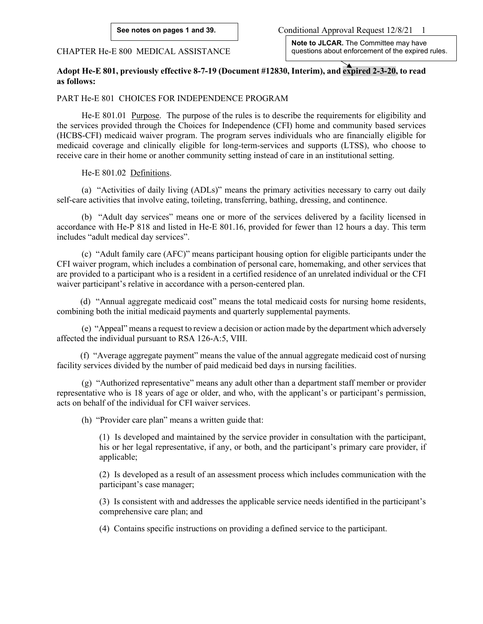CHAPTER He-E 800 MEDICAL ASSISTANCE

**Note to JLCAR.** The Committee may have questions about enforcement of the expired rules.

# **Adopt He-E 801, previously effective 8-7-19 (Document #12830, Interim), and expired 2-3-20, to read as follows:**

## PART He-E 801 CHOICES FOR INDEPENDENCE PROGRAM

He-E 801.01 Purpose. The purpose of the rules is to describe the requirements for eligibility and the services provided through the Choices for Independence (CFI) home and community based services (HCBS-CFI) medicaid waiver program. The program serves individuals who are financially eligible for medicaid coverage and clinically eligible for long-term-services and supports (LTSS), who choose to receive care in their home or another community setting instead of care in an institutional setting.

He-E 801.02 Definitions.

(a) "Activities of daily living (ADLs)" means the primary activities necessary to carry out daily self-care activities that involve eating, toileting, transferring, bathing, dressing, and continence.

(b) "Adult day services" means one or more of the services delivered by a facility licensed in accordance with He-P 818 and listed in He-E 801.16, provided for fewer than 12 hours a day. This term includes "adult medical day services".

(c) "Adult family care (AFC)" means participant housing option for eligible participants under the CFI waiver program, which includes a combination of personal care, homemaking, and other services that are provided to a participant who is a resident in a certified residence of an unrelated individual or the CFI waiver participant's relative in accordance with a person-centered plan.

(d) "Annual aggregate medicaid cost" means the total medicaid costs for nursing home residents, combining both the initial medicaid payments and quarterly supplemental payments.

(e) "Appeal" means a request to review a decision or action made by the department which adversely affected the individual pursuant to RSA 126-A:5, VIII.

(f) "Average aggregate payment" means the value of the annual aggregate medicaid cost of nursing facility services divided by the number of paid medicaid bed days in nursing facilities.

(g) "Authorized representative" means any adult other than a department staff member or provider representative who is 18 years of age or older, and who, with the applicant's or participant's permission, acts on behalf of the individual for CFI waiver services.

(h) "Provider care plan" means a written guide that:

(1) Is developed and maintained by the service provider in consultation with the participant, his or her legal representative, if any, or both, and the participant's primary care provider, if applicable;

(2) Is developed as a result of an assessment process which includes communication with the participant's case manager;

(3) Is consistent with and addresses the applicable service needs identified in the participant's comprehensive care plan; and

(4) Contains specific instructions on providing a defined service to the participant.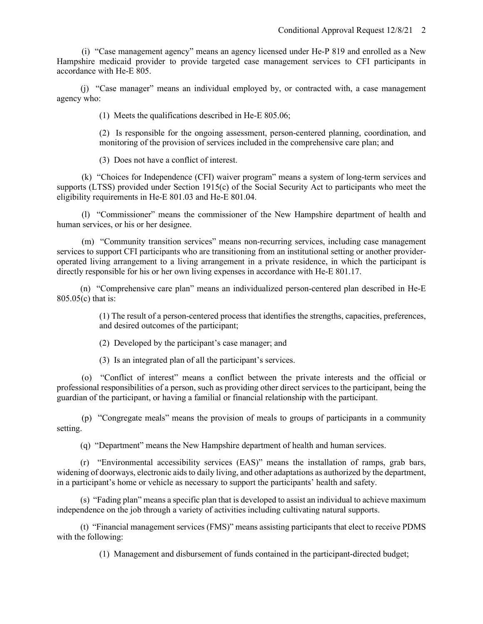(i) "Case management agency" means an agency licensed under He-P 819 and enrolled as a New Hampshire medicaid provider to provide targeted case management services to CFI participants in accordance with He-E 805.

(j) "Case manager" means an individual employed by, or contracted with, a case management agency who:

(1) Meets the qualifications described in He-E 805.06;

(2) Is responsible for the ongoing assessment, person-centered planning, coordination, and monitoring of the provision of services included in the comprehensive care plan; and

(3) Does not have a conflict of interest.

(k) "Choices for Independence (CFI) waiver program" means a system of long-term services and supports (LTSS) provided under Section 1915(c) of the Social Security Act to participants who meet the eligibility requirements in He-E 801.03 and He-E 801.04.

(l) "Commissioner" means the commissioner of the New Hampshire department of health and human services, or his or her designee.

(m) "Community transition services" means non-recurring services, including case management services to support CFI participants who are transitioning from an institutional setting or another provideroperated living arrangement to a living arrangement in a private residence, in which the participant is directly responsible for his or her own living expenses in accordance with He-E 801.17.

(n) "Comprehensive care plan" means an individualized person-centered plan described in He-E 805.05(c) that is:

> (1) The result of a person-centered process that identifies the strengths, capacities, preferences, and desired outcomes of the participant;

(2) Developed by the participant's case manager; and

(3) Is an integrated plan of all the participant's services.

(o) "Conflict of interest" means a conflict between the private interests and the official or professional responsibilities of a person, such as providing other direct services to the participant, being the guardian of the participant, or having a familial or financial relationship with the participant.

(p) "Congregate meals" means the provision of meals to groups of participants in a community setting.

(q) "Department" means the New Hampshire department of health and human services.

(r) "Environmental accessibility services (EAS)" means the installation of ramps, grab bars, widening of doorways, electronic aids to daily living, and other adaptations as authorized by the department, in a participant's home or vehicle as necessary to support the participants' health and safety.

(s) "Fading plan" means a specific plan that is developed to assist an individual to achieve maximum independence on the job through a variety of activities including cultivating natural supports.

(t) "Financial management services (FMS)" means assisting participants that elect to receive PDMS with the following:

(1) Management and disbursement of funds contained in the participant-directed budget;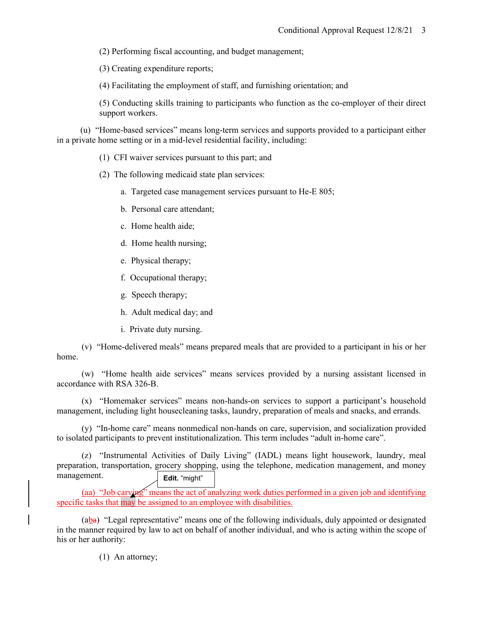(2) Performing fiscal accounting, and budget management;

(3) Creating expenditure reports;

(4) Facilitating the employment of staff, and furnishing orientation; and

(5) Conducting skills training to participants who function as the co-employer of their direct support workers.

(u) "Home-based services" means long-term services and supports provided to a participant either in a private home setting or in a mid-level residential facility, including:

- (1) CFI waiver services pursuant to this part; and
- (2) The following medicaid state plan services:
	- a. Targeted case management services pursuant to He-E 805;
	- b. Personal care attendant;
	- c. Home health aide;
	- d. Home health nursing;
	- e. Physical therapy;
	- f. Occupational therapy;
	- g. Speech therapy;
	- h. Adult medical day; and
	- i. Private duty nursing.

(v) "Home-delivered meals" means prepared meals that are provided to a participant in his or her home.

(w) "Home health aide services" means services provided by a nursing assistant licensed in accordance with RSA 326-B.

(x) "Homemaker services" means non-hands-on services to support a participant's household management, including light housecleaning tasks, laundry, preparation of meals and snacks, and errands.

(y) "In-home care" means nonmedical non-hands on care, supervision, and socialization provided to isolated participants to prevent institutionalization. This term includes "adult in-home care".

(z) "Instrumental Activities of Daily Living" (IADL) means light housework, laundry, meal preparation, transportation, grocery shopping, using the telephone, medication management, and money management. **Edit.** "might"

(aa) "Job carving" means the act of analyzing work duties performed in a given job and identifying specific tasks that may be assigned to an employee with disabilities.

(aba) "Legal representative" means one of the following individuals, duly appointed or designated in the manner required by law to act on behalf of another individual, and who is acting within the scope of his or her authority:

(1) An attorney;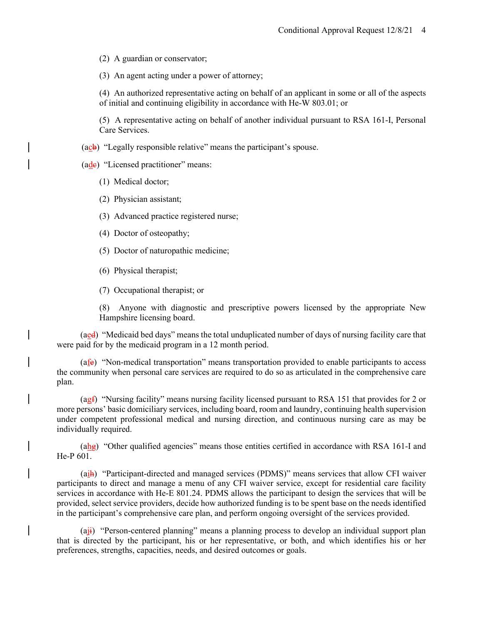(2) A guardian or conservator;

(3) An agent acting under a power of attorney;

(4) An authorized representative acting on behalf of an applicant in some or all of the aspects of initial and continuing eligibility in accordance with He-W 803.01; or

(5) A representative acting on behalf of another individual pursuant to RSA 161-I, Personal Care Services.

 $(ac<sup>b</sup>)$  "Legally responsible relative" means the participant's spouse.

 $(ade)$  "Licensed practitioner" means:

(1) Medical doctor;

(2) Physician assistant;

(3) Advanced practice registered nurse;

(4) Doctor of osteopathy;

(5) Doctor of naturopathic medicine;

(6) Physical therapist;

(7) Occupational therapist; or

(8) Anyone with diagnostic and prescriptive powers licensed by the appropriate New Hampshire licensing board.

(aed) "Medicaid bed days" means the total unduplicated number of days of nursing facility care that were paid for by the medicaid program in a 12 month period.

 $(afe)$  "Non-medical transportation" means transportation provided to enable participants to access the community when personal care services are required to do so as articulated in the comprehensive care plan.

(agf) "Nursing facility" means nursing facility licensed pursuant to RSA 151 that provides for 2 or more persons' basic domiciliary services, including board, room and laundry, continuing health supervision under competent professional medical and nursing direction, and continuous nursing care as may be individually required.

 $(a<sub>h</sub>)$  "Other qualified agencies" means those entities certified in accordance with RSA 161-I and He-P 601.

(aih) "Participant-directed and managed services (PDMS)" means services that allow CFI waiver participants to direct and manage a menu of any CFI waiver service, except for residential care facility services in accordance with He-E 801.24. PDMS allows the participant to design the services that will be provided, select service providers, decide how authorized funding is to be spent base on the needs identified in the participant's comprehensive care plan, and perform ongoing oversight of the services provided.

 $(a<sub>ij</sub>)$  "Person-centered planning" means a planning process to develop an individual support plan that is directed by the participant, his or her representative, or both, and which identifies his or her preferences, strengths, capacities, needs, and desired outcomes or goals.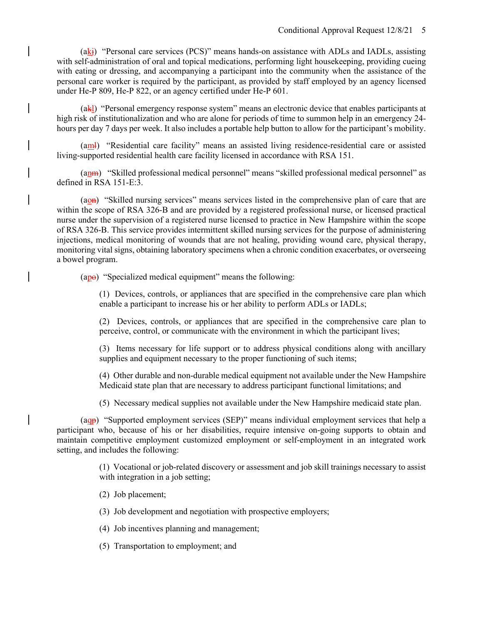$(ak<sub>i</sub>)$  "Personal care services (PCS)" means hands-on assistance with ADLs and IADLs, assisting with self-administration of oral and topical medications, performing light housekeeping, providing cueing with eating or dressing, and accompanying a participant into the community when the assistance of the personal care worker is required by the participant, as provided by staff employed by an agency licensed under He-P 809, He-P 822, or an agency certified under He-P 601.

(akl) "Personal emergency response system" means an electronic device that enables participants at high risk of institutionalization and who are alone for periods of time to summon help in an emergency 24 hours per day 7 days per week. It also includes a portable help button to allow for the participant's mobility.

(aml) "Residential care facility" means an assisted living residence-residential care or assisted living-supported residential health care facility licensed in accordance with RSA 151.

(anm) "Skilled professional medical personnel" means "skilled professional medical personnel" as defined in RSA 151-E:3.

(aon) "Skilled nursing services" means services listed in the comprehensive plan of care that are within the scope of RSA 326-B and are provided by a registered professional nurse, or licensed practical nurse under the supervision of a registered nurse licensed to practice in New Hampshire within the scope of RSA 326-B. This service provides intermittent skilled nursing services for the purpose of administering injections, medical monitoring of wounds that are not healing, providing wound care, physical therapy, monitoring vital signs, obtaining laboratory specimens when a chronic condition exacerbates, or overseeing a bowel program.

 $(ap<sub>θ</sub>)$  "Specialized medical equipment" means the following:

(1) Devices, controls, or appliances that are specified in the comprehensive care plan which enable a participant to increase his or her ability to perform ADLs or IADLs;

(2) Devices, controls, or appliances that are specified in the comprehensive care plan to perceive, control, or communicate with the environment in which the participant lives;

(3) Items necessary for life support or to address physical conditions along with ancillary supplies and equipment necessary to the proper functioning of such items;

(4) Other durable and non-durable medical equipment not available under the New Hampshire Medicaid state plan that are necessary to address participant functional limitations; and

(5) Necessary medical supplies not available under the New Hampshire medicaid state plan.

( $a_{\text{Q}P}$ ) "Supported employment services (SEP)" means individual employment services that help a participant who, because of his or her disabilities, require intensive on-going supports to obtain and maintain competitive employment customized employment or self-employment in an integrated work setting, and includes the following:

> (1) Vocational or job-related discovery or assessment and job skill trainings necessary to assist with integration in a job setting;

(2) Job placement;

(3) Job development and negotiation with prospective employers;

- (4) Job incentives planning and management;
- (5) Transportation to employment; and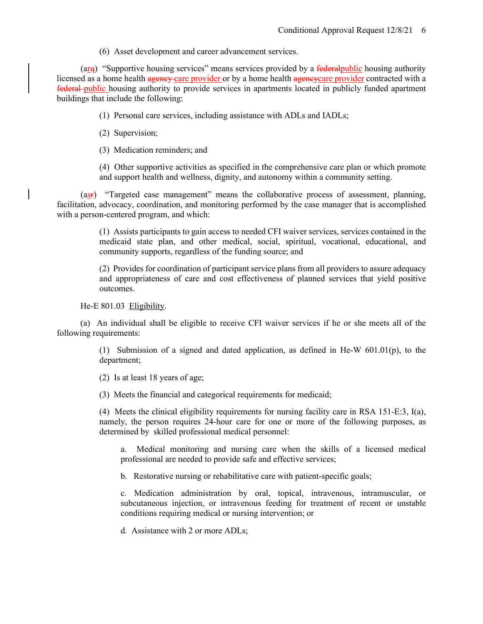(6) Asset development and career advancement services.

( $\arg$ ) "Supportive housing services" means services provided by a federal public housing authority licensed as a home health agency care provider or by a home health agencycare provider contracted with a federal public housing authority to provide services in apartments located in publicly funded apartment buildings that include the following:

(1) Personal care services, including assistance with ADLs and IADLs;

- (2) Supervision;
- (3) Medication reminders; and

(4) Other supportive activities as specified in the comprehensive care plan or which promote and support health and wellness, dignity, and autonomy within a community setting.

(asr) "Targeted case management" means the collaborative process of assessment, planning, facilitation, advocacy, coordination, and monitoring performed by the case manager that is accomplished with a person-centered program, and which:

> (1) Assists participants to gain access to needed CFI waiver services, services contained in the medicaid state plan, and other medical, social, spiritual, vocational, educational, and community supports, regardless of the funding source; and

> (2) Provides for coordination of participant service plans from all providers to assure adequacy and appropriateness of care and cost effectiveness of planned services that yield positive outcomes.

He-E 801.03 Eligibility.

(a) An individual shall be eligible to receive CFI waiver services if he or she meets all of the following requirements:

> (1) Submission of a signed and dated application, as defined in He-W 601.01(p), to the department;

(2) Is at least 18 years of age;

(3) Meets the financial and categorical requirements for medicaid;

(4) Meets the clinical eligibility requirements for nursing facility care in RSA 151-E:3, I(a), namely, the person requires 24-hour care for one or more of the following purposes, as determined by skilled professional medical personnel:

a. Medical monitoring and nursing care when the skills of a licensed medical professional are needed to provide safe and effective services;

b. Restorative nursing or rehabilitative care with patient-specific goals;

c. Medication administration by oral, topical, intravenous, intramuscular, or subcutaneous injection, or intravenous feeding for treatment of recent or unstable conditions requiring medical or nursing intervention; or

d. Assistance with 2 or more ADLs;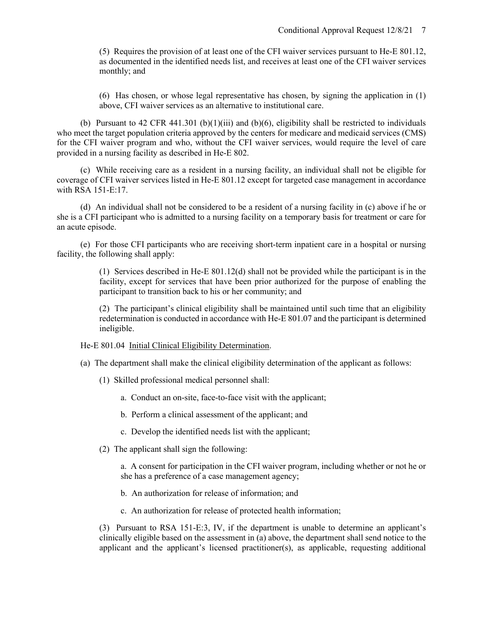(5) Requires the provision of at least one of the CFI waiver services pursuant to He-E 801.12, as documented in the identified needs list, and receives at least one of the CFI waiver services monthly; and

(6) Has chosen, or whose legal representative has chosen, by signing the application in (1) above, CFI waiver services as an alternative to institutional care.

(b) Pursuant to 42 CFR 441.301 (b)(1)(iii) and (b)(6), eligibility shall be restricted to individuals who meet the target population criteria approved by the centers for medicare and medicaid services (CMS) for the CFI waiver program and who, without the CFI waiver services, would require the level of care provided in a nursing facility as described in He-E 802.

(c) While receiving care as a resident in a nursing facility, an individual shall not be eligible for coverage of CFI waiver services listed in He-E 801.12 except for targeted case management in accordance with RSA 151-E:17.

(d) An individual shall not be considered to be a resident of a nursing facility in (c) above if he or she is a CFI participant who is admitted to a nursing facility on a temporary basis for treatment or care for an acute episode.

(e) For those CFI participants who are receiving short-term inpatient care in a hospital or nursing facility, the following shall apply:

> (1) Services described in He-E 801.12(d) shall not be provided while the participant is in the facility, except for services that have been prior authorized for the purpose of enabling the participant to transition back to his or her community; and

> (2) The participant's clinical eligibility shall be maintained until such time that an eligibility redetermination is conducted in accordance with He-E 801.07 and the participant is determined ineligible.

He-E 801.04 Initial Clinical Eligibility Determination.

- (a) The department shall make the clinical eligibility determination of the applicant as follows:
	- (1) Skilled professional medical personnel shall:
		- a. Conduct an on-site, face-to-face visit with the applicant;
		- b. Perform a clinical assessment of the applicant; and
		- c. Develop the identified needs list with the applicant;
	- (2) The applicant shall sign the following:

a. A consent for participation in the CFI waiver program, including whether or not he or she has a preference of a case management agency;

- b. An authorization for release of information; and
- c. An authorization for release of protected health information;

(3) Pursuant to RSA 151-E:3, IV, if the department is unable to determine an applicant's clinically eligible based on the assessment in (a) above, the department shall send notice to the applicant and the applicant's licensed practitioner(s), as applicable, requesting additional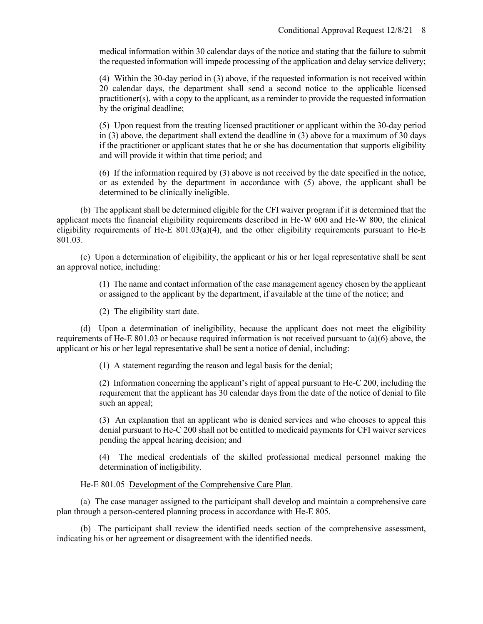medical information within 30 calendar days of the notice and stating that the failure to submit the requested information will impede processing of the application and delay service delivery;

(4) Within the 30-day period in (3) above, if the requested information is not received within 20 calendar days, the department shall send a second notice to the applicable licensed practitioner(s), with a copy to the applicant, as a reminder to provide the requested information by the original deadline;

(5) Upon request from the treating licensed practitioner or applicant within the 30-day period in (3) above, the department shall extend the deadline in (3) above for a maximum of 30 days if the practitioner or applicant states that he or she has documentation that supports eligibility and will provide it within that time period; and

(6) If the information required by (3) above is not received by the date specified in the notice, or as extended by the department in accordance with (5) above, the applicant shall be determined to be clinically ineligible.

(b) The applicant shall be determined eligible for the CFI waiver program if it is determined that the applicant meets the financial eligibility requirements described in He-W 600 and He-W 800, the clinical eligibility requirements of He-E 801.03(a)(4), and the other eligibility requirements pursuant to He-E 801.03.

(c) Upon a determination of eligibility, the applicant or his or her legal representative shall be sent an approval notice, including:

> (1) The name and contact information of the case management agency chosen by the applicant or assigned to the applicant by the department, if available at the time of the notice; and

(2) The eligibility start date.

(d) Upon a determination of ineligibility, because the applicant does not meet the eligibility requirements of He-E 801.03 or because required information is not received pursuant to (a)(6) above, the applicant or his or her legal representative shall be sent a notice of denial, including:

(1) A statement regarding the reason and legal basis for the denial;

(2) Information concerning the applicant's right of appeal pursuant to He-C 200, including the requirement that the applicant has 30 calendar days from the date of the notice of denial to file such an appeal;

(3) An explanation that an applicant who is denied services and who chooses to appeal this denial pursuant to He-C 200 shall not be entitled to medicaid payments for CFI waiver services pending the appeal hearing decision; and

(4) The medical credentials of the skilled professional medical personnel making the determination of ineligibility.

He-E 801.05 Development of the Comprehensive Care Plan.

(a) The case manager assigned to the participant shall develop and maintain a comprehensive care plan through a person-centered planning process in accordance with He-E 805.

(b) The participant shall review the identified needs section of the comprehensive assessment, indicating his or her agreement or disagreement with the identified needs.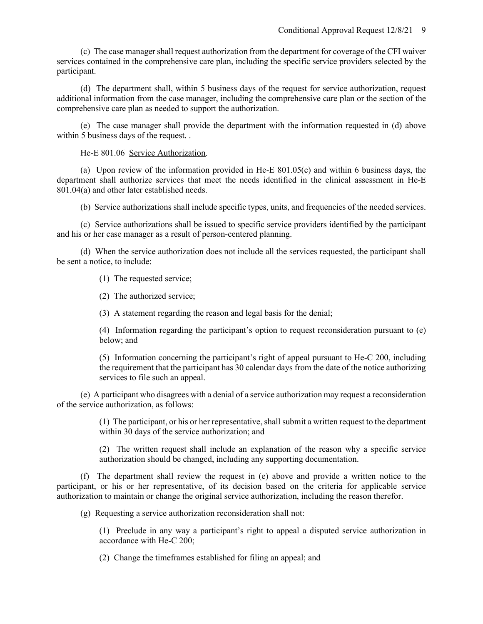(c) The case manager shall request authorization from the department for coverage of the CFI waiver services contained in the comprehensive care plan, including the specific service providers selected by the participant.

(d) The department shall, within 5 business days of the request for service authorization, request additional information from the case manager, including the comprehensive care plan or the section of the comprehensive care plan as needed to support the authorization.

(e) The case manager shall provide the department with the information requested in (d) above within 5 business days of the request...

He-E 801.06 Service Authorization.

(a) Upon review of the information provided in He-E 801.05(c) and within 6 business days, the department shall authorize services that meet the needs identified in the clinical assessment in He-E 801.04(a) and other later established needs.

(b) Service authorizations shall include specific types, units, and frequencies of the needed services.

(c) Service authorizations shall be issued to specific service providers identified by the participant and his or her case manager as a result of person-centered planning.

(d) When the service authorization does not include all the services requested, the participant shall be sent a notice, to include:

(1) The requested service;

(2) The authorized service;

(3) A statement regarding the reason and legal basis for the denial;

(4) Information regarding the participant's option to request reconsideration pursuant to (e) below; and

(5) Information concerning the participant's right of appeal pursuant to He-C 200, including the requirement that the participant has 30 calendar days from the date of the notice authorizing services to file such an appeal.

(e) A participant who disagrees with a denial of a service authorization may request a reconsideration of the service authorization, as follows:

> (1) The participant, or his or her representative, shall submit a written request to the department within 30 days of the service authorization; and

> (2) The written request shall include an explanation of the reason why a specific service authorization should be changed, including any supporting documentation.

(f) The department shall review the request in (e) above and provide a written notice to the participant, or his or her representative, of its decision based on the criteria for applicable service authorization to maintain or change the original service authorization, including the reason therefor.

(g) Requesting a service authorization reconsideration shall not:

(1) Preclude in any way a participant's right to appeal a disputed service authorization in accordance with He-C 200;

(2) Change the timeframes established for filing an appeal; and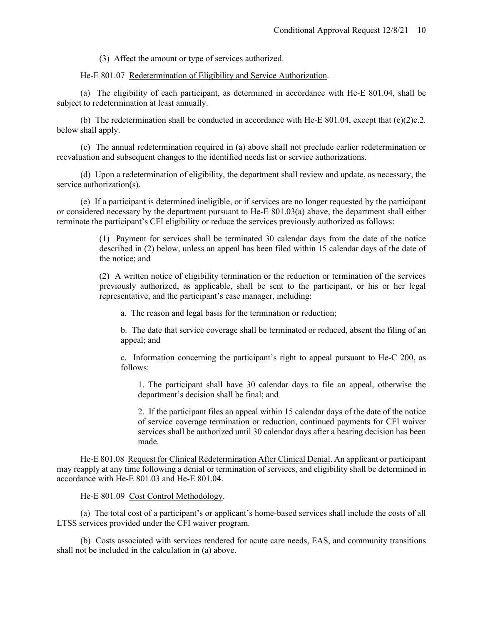(3) Affect the amount or type of services authorized.

He-E 801.07 Redetermination of Eligibility and Service Authorization.

(a) The eligibility of each participant, as determined in accordance with He-E 801.04, shall be subject to redetermination at least annually.

(b) The redetermination shall be conducted in accordance with He-E 801.04, except that  $(e)(2)c.2$ . below shall apply.

(c) The annual redetermination required in (a) above shall not preclude earlier redetermination or reevaluation and subsequent changes to the identified needs list or service authorizations.

(d) Upon a redetermination of eligibility, the department shall review and update, as necessary, the service authorization(s).

(e) If a participant is determined ineligible, or if services are no longer requested by the participant or considered necessary by the department pursuant to He-E 801.03(a) above, the department shall either terminate the participant's CFI eligibility or reduce the services previously authorized as follows:

> (1) Payment for services shall be terminated 30 calendar days from the date of the notice described in (2) below, unless an appeal has been filed within 15 calendar days of the date of the notice; and

> (2) A written notice of eligibility termination or the reduction or termination of the services previously authorized, as applicable, shall be sent to the participant, or his or her legal representative, and the participant's case manager, including:

a. The reason and legal basis for the termination or reduction;

b. The date that service coverage shall be terminated or reduced, absent the filing of an appeal; and

c. Information concerning the participant's right to appeal pursuant to He-C 200, as follows:

1. The participant shall have 30 calendar days to file an appeal, otherwise the department's decision shall be final; and

2. If the participant files an appeal within 15 calendar days of the date of the notice of service coverage termination or reduction, continued payments for CFI waiver services shall be authorized until 30 calendar days after a hearing decision has been made.

He-E 801.08 Request for Clinical Redetermination After Clinical Denial. An applicant or participant may reapply at any time following a denial or termination of services, and eligibility shall be determined in accordance with He-E 801.03 and He-E 801.04.

He-E 801.09 Cost Control Methodology.

(a) The total cost of a participant's or applicant's home-based services shall include the costs of all LTSS services provided under the CFI waiver program.

(b) Costs associated with services rendered for acute care needs, EAS, and community transitions shall not be included in the calculation in (a) above.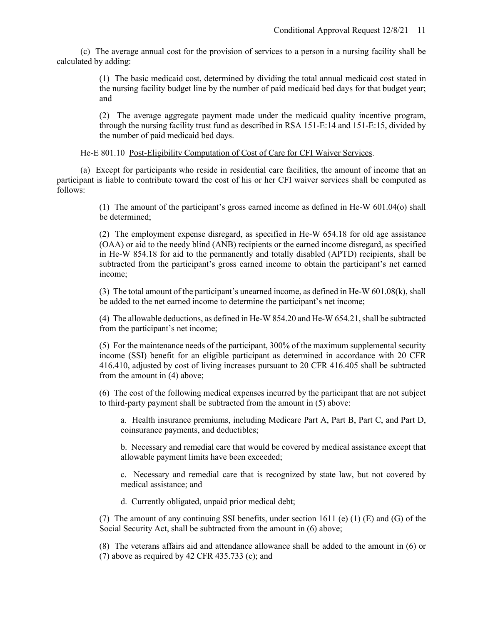(c) The average annual cost for the provision of services to a person in a nursing facility shall be calculated by adding:

> (1) The basic medicaid cost, determined by dividing the total annual medicaid cost stated in the nursing facility budget line by the number of paid medicaid bed days for that budget year; and

> (2) The average aggregate payment made under the medicaid quality incentive program, through the nursing facility trust fund as described in RSA 151-E:14 and 151-E:15, divided by the number of paid medicaid bed days.

He-E 801.10 Post-Eligibility Computation of Cost of Care for CFI Waiver Services.

(a) Except for participants who reside in residential care facilities, the amount of income that an participant is liable to contribute toward the cost of his or her CFI waiver services shall be computed as follows:

> (1) The amount of the participant's gross earned income as defined in He-W 601.04(o) shall be determined;

> (2) The employment expense disregard, as specified in He-W 654.18 for old age assistance (OAA) or aid to the needy blind (ANB) recipients or the earned income disregard, as specified in He-W 854.18 for aid to the permanently and totally disabled (APTD) recipients, shall be subtracted from the participant's gross earned income to obtain the participant's net earned income;

> (3) The total amount of the participant's unearned income, as defined in He-W 601.08(k), shall be added to the net earned income to determine the participant's net income;

> (4) The allowable deductions, as defined in He-W 854.20 and He-W 654.21, shall be subtracted from the participant's net income;

> (5) For the maintenance needs of the participant, 300% of the maximum supplemental security income (SSI) benefit for an eligible participant as determined in accordance with 20 CFR 416.410, adjusted by cost of living increases pursuant to 20 CFR 416.405 shall be subtracted from the amount in (4) above;

> (6) The cost of the following medical expenses incurred by the participant that are not subject to third-party payment shall be subtracted from the amount in (5) above:

a. Health insurance premiums, including Medicare Part A, Part B, Part C, and Part D, coinsurance payments, and deductibles;

b. Necessary and remedial care that would be covered by medical assistance except that allowable payment limits have been exceeded;

c. Necessary and remedial care that is recognized by state law, but not covered by medical assistance; and

d. Currently obligated, unpaid prior medical debt;

(7) The amount of any continuing SSI benefits, under section 1611 (e) (1) (E) and (G) of the Social Security Act, shall be subtracted from the amount in (6) above;

(8) The veterans affairs aid and attendance allowance shall be added to the amount in (6) or (7) above as required by  $42$  CFR  $435.733$  (c); and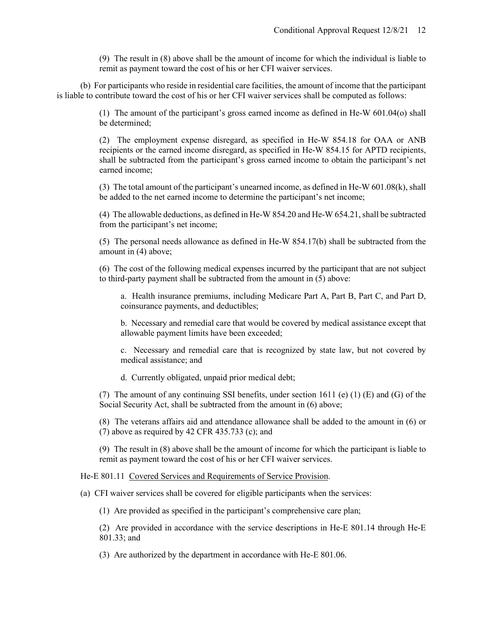(9) The result in (8) above shall be the amount of income for which the individual is liable to remit as payment toward the cost of his or her CFI waiver services.

(b) For participants who reside in residential care facilities, the amount of income that the participant is liable to contribute toward the cost of his or her CFI waiver services shall be computed as follows:

> (1) The amount of the participant's gross earned income as defined in He-W 601.04(o) shall be determined;

> (2) The employment expense disregard, as specified in He-W 854.18 for OAA or ANB recipients or the earned income disregard, as specified in He-W 854.15 for APTD recipients, shall be subtracted from the participant's gross earned income to obtain the participant's net earned income;

> (3) The total amount of the participant's unearned income, as defined in He-W  $601.08(k)$ , shall be added to the net earned income to determine the participant's net income;

> (4) The allowable deductions, as defined in He-W 854.20 and He-W 654.21, shall be subtracted from the participant's net income;

> (5) The personal needs allowance as defined in He-W 854.17(b) shall be subtracted from the amount in (4) above;

> (6) The cost of the following medical expenses incurred by the participant that are not subject to third-party payment shall be subtracted from the amount in (5) above:

a. Health insurance premiums, including Medicare Part A, Part B, Part C, and Part D, coinsurance payments, and deductibles;

b. Necessary and remedial care that would be covered by medical assistance except that allowable payment limits have been exceeded;

c. Necessary and remedial care that is recognized by state law, but not covered by medical assistance; and

d. Currently obligated, unpaid prior medical debt;

(7) The amount of any continuing SSI benefits, under section 1611 (e) (1) (E) and (G) of the Social Security Act, shall be subtracted from the amount in (6) above;

(8) The veterans affairs aid and attendance allowance shall be added to the amount in (6) or (7) above as required by  $42$  CFR  $435.733$  (c); and

(9) The result in (8) above shall be the amount of income for which the participant is liable to remit as payment toward the cost of his or her CFI waiver services.

He-E 801.11 Covered Services and Requirements of Service Provision.

(a) CFI waiver services shall be covered for eligible participants when the services:

(1) Are provided as specified in the participant's comprehensive care plan;

(2) Are provided in accordance with the service descriptions in He-E 801.14 through He-E 801.33; and

(3) Are authorized by the department in accordance with He-E 801.06.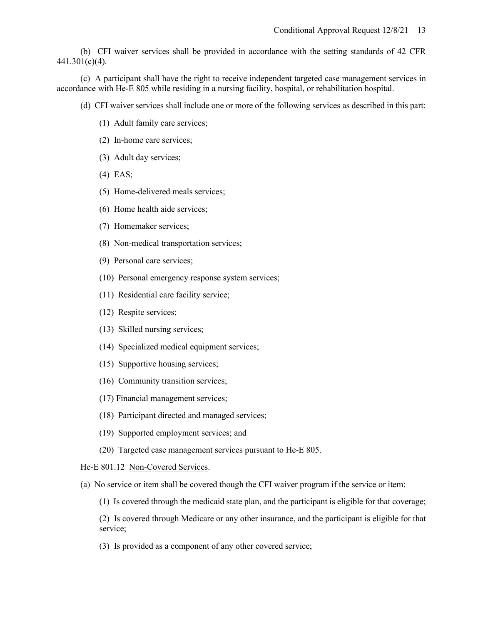(b) CFI waiver services shall be provided in accordance with the setting standards of 42 CFR 441.301(c)(4).

(c) A participant shall have the right to receive independent targeted case management services in accordance with He-E 805 while residing in a nursing facility, hospital, or rehabilitation hospital.

- (d) CFI waiver services shall include one or more of the following services as described in this part:
	- (1) Adult family care services;
	- (2) In-home care services;
	- (3) Adult day services;
	- (4) EAS;
	- (5) Home-delivered meals services;
	- (6) Home health aide services;
	- (7) Homemaker services;
	- (8) Non-medical transportation services;
	- (9) Personal care services;
	- (10) Personal emergency response system services;
	- (11) Residential care facility service;
	- (12) Respite services;
	- (13) Skilled nursing services;
	- (14) Specialized medical equipment services;
	- (15) Supportive housing services;
	- (16) Community transition services;
	- (17) Financial management services;
	- (18) Participant directed and managed services;
	- (19) Supported employment services; and
	- (20) Targeted case management services pursuant to He-E 805.

He-E 801.12 Non-Covered Services.

(a) No service or item shall be covered though the CFI waiver program if the service or item:

(1) Is covered through the medicaid state plan, and the participant is eligible for that coverage;

(2) Is covered through Medicare or any other insurance, and the participant is eligible for that service;

(3) Is provided as a component of any other covered service;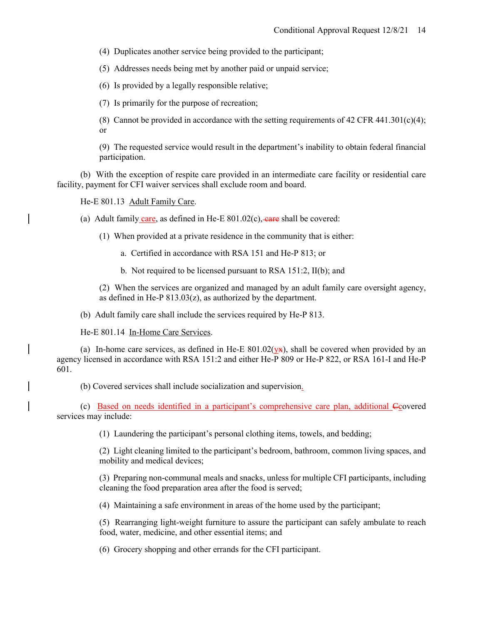(4) Duplicates another service being provided to the participant;

(5) Addresses needs being met by another paid or unpaid service;

(6) Is provided by a legally responsible relative;

(7) Is primarily for the purpose of recreation;

(8) Cannot be provided in accordance with the setting requirements of 42 CFR 441.301(c)(4); or

(9) The requested service would result in the department's inability to obtain federal financial participation.

(b) With the exception of respite care provided in an intermediate care facility or residential care facility, payment for CFI waiver services shall exclude room and board.

He-E 801.13 Adult Family Care.

(a) Adult family care, as defined in He-E  $801.02(c)$ , care shall be covered:

(1) When provided at a private residence in the community that is either:

a. Certified in accordance with RSA 151 and He-P 813; or

b. Not required to be licensed pursuant to RSA 151:2, II(b); and

(2) When the services are organized and managed by an adult family care oversight agency, as defined in He-P  $813.03(z)$ , as authorized by the department.

(b) Adult family care shall include the services required by He-P 813.

He-E 801.14 In-Home Care Services.

(a) In-home care services, as defined in He-E  $801.02(yx)$ , shall be covered when provided by an agency licensed in accordance with RSA 151:2 and either He-P 809 or He-P 822, or RSA 161-I and He-P 601.

(b) Covered services shall include socialization and supervision.

(c) Based on needs identified in a participant's comprehensive care plan, additional Ccovered services may include:

(1) Laundering the participant's personal clothing items, towels, and bedding;

(2) Light cleaning limited to the participant's bedroom, bathroom, common living spaces, and mobility and medical devices;

(3) Preparing non-communal meals and snacks, unless for multiple CFI participants, including cleaning the food preparation area after the food is served;

(4) Maintaining a safe environment in areas of the home used by the participant;

(5) Rearranging light-weight furniture to assure the participant can safely ambulate to reach food, water, medicine, and other essential items; and

(6) Grocery shopping and other errands for the CFI participant.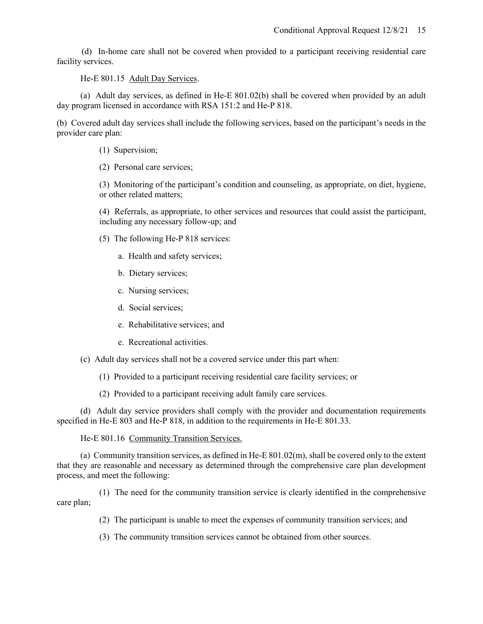(d) In-home care shall not be covered when provided to a participant receiving residential care facility services.

He-E 801.15 Adult Day Services.

(a) Adult day services, as defined in He-E 801.02(b) shall be covered when provided by an adult day program licensed in accordance with RSA 151:2 and He-P 818.

(b) Covered adult day services shall include the following services, based on the participant's needs in the provider care plan:

- (1) Supervision;
- (2) Personal care services;

(3) Monitoring of the participant's condition and counseling, as appropriate, on diet, hygiene, or other related matters;

(4) Referrals, as appropriate, to other services and resources that could assist the participant, including any necessary follow-up; and

- (5) The following He-P 818 services:
	- a. Health and safety services;
	- b. Dietary services;
	- c. Nursing services;
	- d. Social services;
	- e. Rehabilitative services; and
	- e. Recreational activities.
- (c) Adult day services shall not be a covered service under this part when:
	- (1) Provided to a participant receiving residential care facility services; or
	- (2) Provided to a participant receiving adult family care services.

(d) Adult day service providers shall comply with the provider and documentation requirements specified in He-E 803 and He-P 818, in addition to the requirements in He-E 801.33.

He-E 801.16 Community Transition Services.

(a) Community transition services, as defined in He-E 801.02(m), shall be covered only to the extent that they are reasonable and necessary as determined through the comprehensive care plan development process, and meet the following:

(1) The need for the community transition service is clearly identified in the comprehensive care plan;

- (2) The participant is unable to meet the expenses of community transition services; and
- (3) The community transition services cannot be obtained from other sources.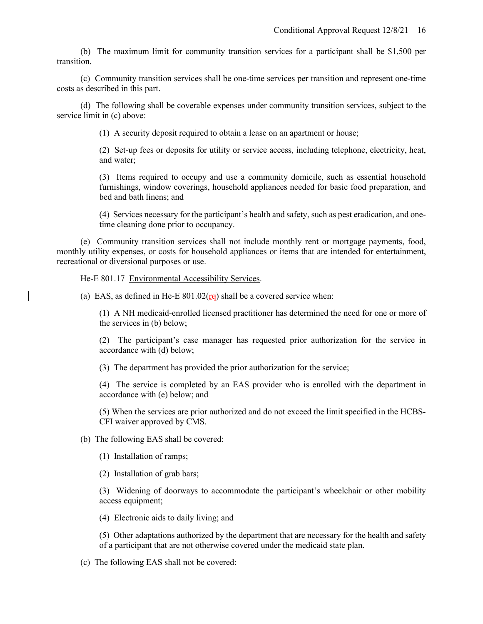(b) The maximum limit for community transition services for a participant shall be \$1,500 per transition.

(c) Community transition services shall be one-time services per transition and represent one-time costs as described in this part.

(d) The following shall be coverable expenses under community transition services, subject to the service limit in (c) above:

(1) A security deposit required to obtain a lease on an apartment or house;

(2) Set-up fees or deposits for utility or service access, including telephone, electricity, heat, and water;

(3) Items required to occupy and use a community domicile, such as essential household furnishings, window coverings, household appliances needed for basic food preparation, and bed and bath linens; and

(4) Services necessary for the participant's health and safety, such as pest eradication, and onetime cleaning done prior to occupancy.

(e) Community transition services shall not include monthly rent or mortgage payments, food, monthly utility expenses, or costs for household appliances or items that are intended for entertainment, recreational or diversional purposes or use.

He-E 801.17 Environmental Accessibility Services.

(a) EAS, as defined in He-E  $801.02(\text{re})$  shall be a covered service when:

(1) A NH medicaid-enrolled licensed practitioner has determined the need for one or more of the services in (b) below;

(2) The participant's case manager has requested prior authorization for the service in accordance with (d) below;

(3) The department has provided the prior authorization for the service;

(4) The service is completed by an EAS provider who is enrolled with the department in accordance with (e) below; and

(5) When the services are prior authorized and do not exceed the limit specified in the HCBS-CFI waiver approved by CMS.

(b) The following EAS shall be covered:

(1) Installation of ramps;

(2) Installation of grab bars;

(3) Widening of doorways to accommodate the participant's wheelchair or other mobility access equipment;

(4) Electronic aids to daily living; and

(5) Other adaptations authorized by the department that are necessary for the health and safety of a participant that are not otherwise covered under the medicaid state plan.

(c) The following EAS shall not be covered: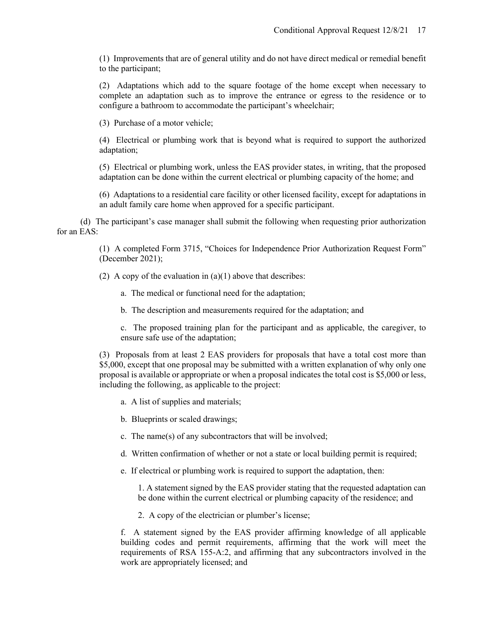(1) Improvements that are of general utility and do not have direct medical or remedial benefit to the participant;

(2) Adaptations which add to the square footage of the home except when necessary to complete an adaptation such as to improve the entrance or egress to the residence or to configure a bathroom to accommodate the participant's wheelchair;

(3) Purchase of a motor vehicle;

(4) Electrical or plumbing work that is beyond what is required to support the authorized adaptation;

(5) Electrical or plumbing work, unless the EAS provider states, in writing, that the proposed adaptation can be done within the current electrical or plumbing capacity of the home; and

(6) Adaptations to a residential care facility or other licensed facility, except for adaptations in an adult family care home when approved for a specific participant.

(d) The participant's case manager shall submit the following when requesting prior authorization for an EAS:

> (1) A completed Form 3715, "Choices for Independence Prior Authorization Request Form" (December 2021);

(2) A copy of the evaluation in  $(a)(1)$  above that describes:

- a. The medical or functional need for the adaptation;
- b. The description and measurements required for the adaptation; and

c. The proposed training plan for the participant and as applicable, the caregiver, to ensure safe use of the adaptation;

(3) Proposals from at least 2 EAS providers for proposals that have a total cost more than \$5,000, except that one proposal may be submitted with a written explanation of why only one proposal is available or appropriate or when a proposal indicates the total cost is \$5,000 or less, including the following, as applicable to the project:

- a. A list of supplies and materials;
- b. Blueprints or scaled drawings;
- c. The name(s) of any subcontractors that will be involved;
- d. Written confirmation of whether or not a state or local building permit is required;
- e. If electrical or plumbing work is required to support the adaptation, then:

1. A statement signed by the EAS provider stating that the requested adaptation can be done within the current electrical or plumbing capacity of the residence; and

2. A copy of the electrician or plumber's license;

f. A statement signed by the EAS provider affirming knowledge of all applicable building codes and permit requirements, affirming that the work will meet the requirements of RSA 155-A:2, and affirming that any subcontractors involved in the work are appropriately licensed; and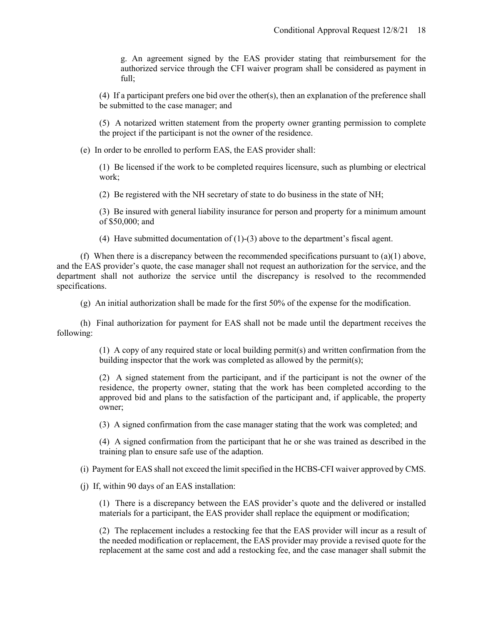g. An agreement signed by the EAS provider stating that reimbursement for the authorized service through the CFI waiver program shall be considered as payment in full;

(4) If a participant prefers one bid over the other(s), then an explanation of the preference shall be submitted to the case manager; and

(5) A notarized written statement from the property owner granting permission to complete the project if the participant is not the owner of the residence.

(e) In order to be enrolled to perform EAS, the EAS provider shall:

(1) Be licensed if the work to be completed requires licensure, such as plumbing or electrical work;

(2) Be registered with the NH secretary of state to do business in the state of NH;

(3) Be insured with general liability insurance for person and property for a minimum amount of \$50,000; and

(4) Have submitted documentation of (1)-(3) above to the department's fiscal agent.

(f) When there is a discrepancy between the recommended specifications pursuant to  $(a)(1)$  above, and the EAS provider's quote, the case manager shall not request an authorization for the service, and the department shall not authorize the service until the discrepancy is resolved to the recommended specifications.

(g) An initial authorization shall be made for the first 50% of the expense for the modification.

(h) Final authorization for payment for EAS shall not be made until the department receives the following:

> (1) A copy of any required state or local building permit(s) and written confirmation from the building inspector that the work was completed as allowed by the permit(s);

> (2) A signed statement from the participant, and if the participant is not the owner of the residence, the property owner, stating that the work has been completed according to the approved bid and plans to the satisfaction of the participant and, if applicable, the property owner;

(3) A signed confirmation from the case manager stating that the work was completed; and

(4) A signed confirmation from the participant that he or she was trained as described in the training plan to ensure safe use of the adaption.

(i) Payment for EAS shall not exceed the limit specified in the HCBS-CFI waiver approved by CMS.

(j) If, within 90 days of an EAS installation:

(1) There is a discrepancy between the EAS provider's quote and the delivered or installed materials for a participant, the EAS provider shall replace the equipment or modification;

(2) The replacement includes a restocking fee that the EAS provider will incur as a result of the needed modification or replacement, the EAS provider may provide a revised quote for the replacement at the same cost and add a restocking fee, and the case manager shall submit the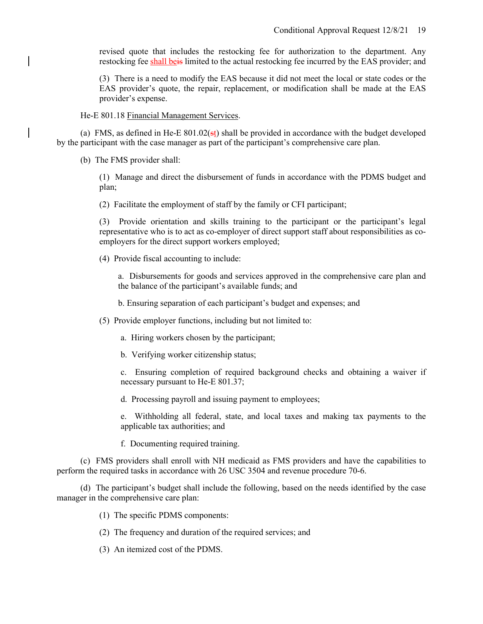revised quote that includes the restocking fee for authorization to the department. Any restocking fee shall beis limited to the actual restocking fee incurred by the EAS provider; and

(3) There is a need to modify the EAS because it did not meet the local or state codes or the EAS provider's quote, the repair, replacement, or modification shall be made at the EAS provider's expense.

He-E 801.18 Financial Management Services.

(a) FMS, as defined in He-E  $801.02$ (st) shall be provided in accordance with the budget developed by the participant with the case manager as part of the participant's comprehensive care plan.

(b) The FMS provider shall:

(1) Manage and direct the disbursement of funds in accordance with the PDMS budget and plan;

(2) Facilitate the employment of staff by the family or CFI participant;

(3) Provide orientation and skills training to the participant or the participant's legal representative who is to act as co-employer of direct support staff about responsibilities as coemployers for the direct support workers employed;

(4) Provide fiscal accounting to include:

a. Disbursements for goods and services approved in the comprehensive care plan and the balance of the participant's available funds; and

b. Ensuring separation of each participant's budget and expenses; and

(5) Provide employer functions, including but not limited to:

a. Hiring workers chosen by the participant;

b. Verifying worker citizenship status;

c. Ensuring completion of required background checks and obtaining a waiver if necessary pursuant to He-E 801.37;

d. Processing payroll and issuing payment to employees;

e. Withholding all federal, state, and local taxes and making tax payments to the applicable tax authorities; and

f. Documenting required training.

(c) FMS providers shall enroll with NH medicaid as FMS providers and have the capabilities to perform the required tasks in accordance with 26 USC 3504 and revenue procedure 70-6.

(d) The participant's budget shall include the following, based on the needs identified by the case manager in the comprehensive care plan:

(1) The specific PDMS components:

- (2) The frequency and duration of the required services; and
- (3) An itemized cost of the PDMS.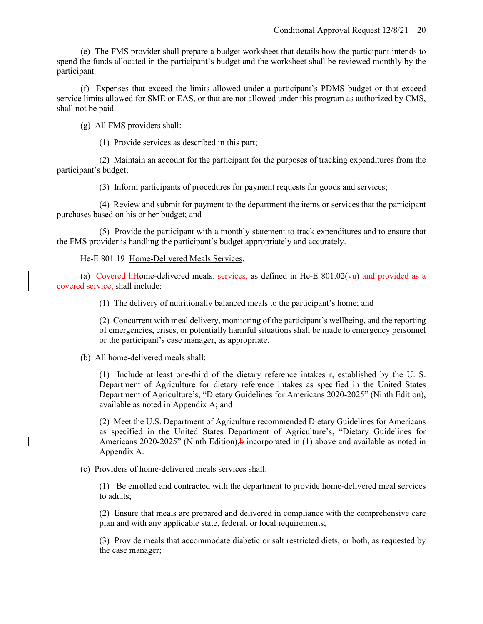(e) The FMS provider shall prepare a budget worksheet that details how the participant intends to spend the funds allocated in the participant's budget and the worksheet shall be reviewed monthly by the participant.

(f) Expenses that exceed the limits allowed under a participant's PDMS budget or that exceed service limits allowed for SME or EAS, or that are not allowed under this program as authorized by CMS, shall not be paid.

(g) All FMS providers shall:

(1) Provide services as described in this part;

(2) Maintain an account for the participant for the purposes of tracking expenditures from the participant's budget;

(3) Inform participants of procedures for payment requests for goods and services;

(4) Review and submit for payment to the department the items or services that the participant purchases based on his or her budget; and

(5) Provide the participant with a monthly statement to track expenditures and to ensure that the FMS provider is handling the participant's budget appropriately and accurately.

He-E 801.19 Home-Delivered Meals Services.

(a) Covered hHome-delivered meals, services, as defined in He-E  $801.02(\underline{v}\underline{u})$  and provided as a covered service, shall include:

(1) The delivery of nutritionally balanced meals to the participant's home; and

(2) Concurrent with meal delivery, monitoring of the participant's wellbeing, and the reporting of emergencies, crises, or potentially harmful situations shall be made to emergency personnel or the participant's case manager, as appropriate.

(b) All home-delivered meals shall:

(1) Include at least one-third of the dietary reference intakes r, established by the U. S. Department of Agriculture for dietary reference intakes as specified in the United States Department of Agriculture's, "Dietary Guidelines for Americans 2020-2025" (Ninth Edition), available as noted in Appendix A; and

(2) Meet the U.S. Department of Agriculture recommended Dietary Guidelines for Americans as specified in the United States Department of Agriculture's, "Dietary Guidelines for Americans 2020-2025" (Ninth Edition), $\frac{1}{2}$  incorporated in (1) above and available as noted in Appendix A.

(c) Providers of home-delivered meals services shall:

(1) Be enrolled and contracted with the department to provide home-delivered meal services to adults;

(2) Ensure that meals are prepared and delivered in compliance with the comprehensive care plan and with any applicable state, federal, or local requirements;

(3) Provide meals that accommodate diabetic or salt restricted diets, or both, as requested by the case manager;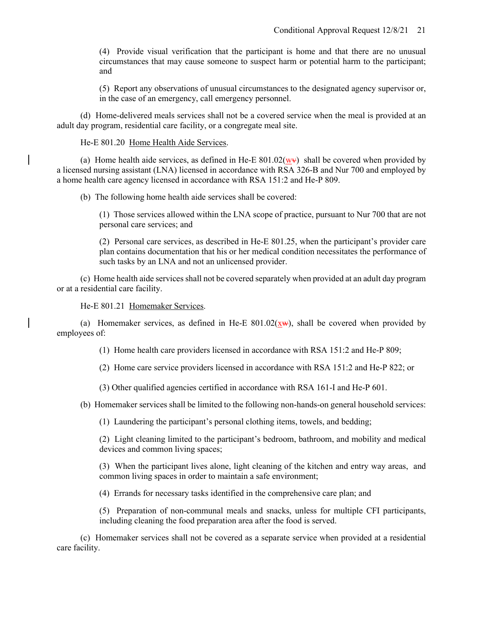(4) Provide visual verification that the participant is home and that there are no unusual circumstances that may cause someone to suspect harm or potential harm to the participant; and

(5) Report any observations of unusual circumstances to the designated agency supervisor or, in the case of an emergency, call emergency personnel.

(d) Home-delivered meals services shall not be a covered service when the meal is provided at an adult day program, residential care facility, or a congregate meal site.

He-E 801.20 Home Health Aide Services.

(a) Home health aide services, as defined in He-E 801.02( $\overrightarrow{w}$ ) shall be covered when provided by a licensed nursing assistant (LNA) licensed in accordance with RSA 326-B and Nur 700 and employed by a home health care agency licensed in accordance with RSA 151:2 and He-P 809.

(b) The following home health aide services shall be covered:

(1) Those services allowed within the LNA scope of practice, pursuant to Nur 700 that are not personal care services; and

(2) Personal care services, as described in He-E 801.25, when the participant's provider care plan contains documentation that his or her medical condition necessitates the performance of such tasks by an LNA and not an unlicensed provider.

(c) Home health aide services shall not be covered separately when provided at an adult day program or at a residential care facility.

He-E 801.21 Homemaker Services.

(a) Homemaker services, as defined in He-E  $801.02(\underline{x}w)$ , shall be covered when provided by employees of:

(1) Home health care providers licensed in accordance with RSA 151:2 and He-P 809;

(2) Home care service providers licensed in accordance with RSA 151:2 and He-P 822; or

(3) Other qualified agencies certified in accordance with RSA 161-I and He-P 601.

(b) Homemaker services shall be limited to the following non-hands-on general household services:

(1) Laundering the participant's personal clothing items, towels, and bedding;

(2) Light cleaning limited to the participant's bedroom, bathroom, and mobility and medical devices and common living spaces;

(3) When the participant lives alone, light cleaning of the kitchen and entry way areas, and common living spaces in order to maintain a safe environment;

(4) Errands for necessary tasks identified in the comprehensive care plan; and

(5) Preparation of non-communal meals and snacks, unless for multiple CFI participants, including cleaning the food preparation area after the food is served.

(c) Homemaker services shall not be covered as a separate service when provided at a residential care facility.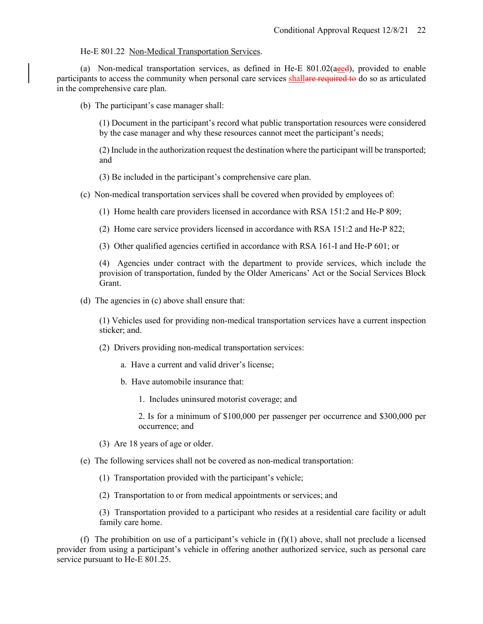## He-E 801.22 Non-Medical Transportation Services.

(a) Non-medical transportation services, as defined in He-E  $801.02(a$ eed), provided to enable participants to access the community when personal care services shallare required to do so as articulated in the comprehensive care plan.

(b) The participant's case manager shall:

(1) Document in the participant's record what public transportation resources were considered by the case manager and why these resources cannot meet the participant's needs;

(2) Include in the authorization request the destination where the participant will be transported; and

(3) Be included in the participant's comprehensive care plan.

(c) Non-medical transportation services shall be covered when provided by employees of:

(1) Home health care providers licensed in accordance with RSA 151:2 and He-P 809;

(2) Home care service providers licensed in accordance with RSA 151:2 and He-P 822;

(3) Other qualified agencies certified in accordance with RSA 161-I and He-P 601; or

(4) Agencies under contract with the department to provide services, which include the provision of transportation, funded by the Older Americans' Act or the Social Services Block Grant.

(d) The agencies in (c) above shall ensure that:

(1) Vehicles used for providing non-medical transportation services have a current inspection sticker; and.

(2) Drivers providing non-medical transportation services:

a. Have a current and valid driver's license;

b. Have automobile insurance that:

1. Includes uninsured motorist coverage; and

2. Is for a minimum of \$100,000 per passenger per occurrence and \$300,000 per occurrence; and

(3) Are 18 years of age or older.

(e) The following services shall not be covered as non-medical transportation:

(1) Transportation provided with the participant's vehicle;

(2) Transportation to or from medical appointments or services; and

(3) Transportation provided to a participant who resides at a residential care facility or adult family care home.

(f) The prohibition on use of a participant's vehicle in  $(f)(1)$  above, shall not preclude a licensed provider from using a participant's vehicle in offering another authorized service, such as personal care service pursuant to He-E 801.25.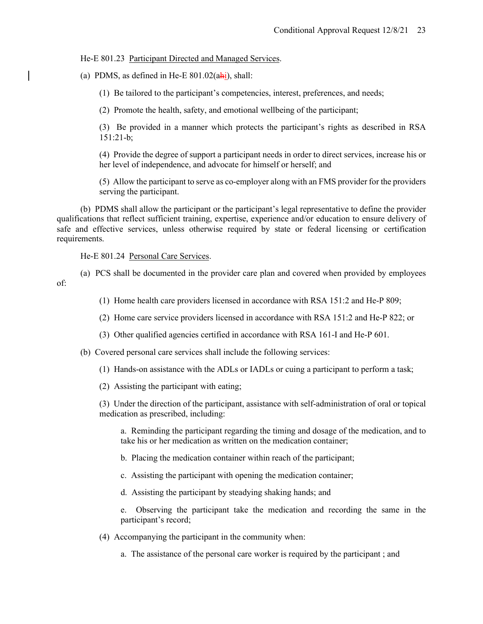#### He-E 801.23 Participant Directed and Managed Services.

(a) PDMS, as defined in He-E  $801.02(ahi)$ , shall:

(1) Be tailored to the participant's competencies, interest, preferences, and needs;

(2) Promote the health, safety, and emotional wellbeing of the participant;

(3) Be provided in a manner which protects the participant's rights as described in RSA 151:21-b;

(4) Provide the degree of support a participant needs in order to direct services, increase his or her level of independence, and advocate for himself or herself; and

(5) Allow the participant to serve as co-employer along with an FMS provider for the providers serving the participant.

(b) PDMS shall allow the participant or the participant's legal representative to define the provider qualifications that reflect sufficient training, expertise, experience and/or education to ensure delivery of safe and effective services, unless otherwise required by state or federal licensing or certification requirements.

He-E 801.24 Personal Care Services.

(a) PCS shall be documented in the provider care plan and covered when provided by employees of:

(1) Home health care providers licensed in accordance with RSA 151:2 and He-P 809;

(2) Home care service providers licensed in accordance with RSA 151:2 and He-P 822; or

(3) Other qualified agencies certified in accordance with RSA 161-I and He-P 601.

(b) Covered personal care services shall include the following services:

(1) Hands-on assistance with the ADLs or IADLs or cuing a participant to perform a task;

(2) Assisting the participant with eating;

(3) Under the direction of the participant, assistance with self-administration of oral or topical medication as prescribed, including:

a. Reminding the participant regarding the timing and dosage of the medication, and to take his or her medication as written on the medication container;

b. Placing the medication container within reach of the participant;

c. Assisting the participant with opening the medication container;

d. Assisting the participant by steadying shaking hands; and

e. Observing the participant take the medication and recording the same in the participant's record;

(4) Accompanying the participant in the community when:

a. The assistance of the personal care worker is required by the participant ; and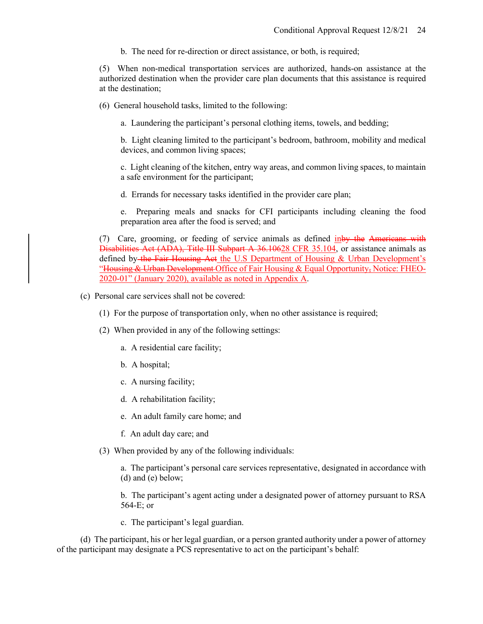b. The need for re-direction or direct assistance, or both, is required;

(5) When non-medical transportation services are authorized, hands-on assistance at the authorized destination when the provider care plan documents that this assistance is required at the destination;

(6) General household tasks, limited to the following:

a. Laundering the participant's personal clothing items, towels, and bedding;

b. Light cleaning limited to the participant's bedroom, bathroom, mobility and medical devices, and common living spaces;

c. Light cleaning of the kitchen, entry way areas, and common living spaces, to maintain a safe environment for the participant;

d. Errands for necessary tasks identified in the provider care plan;

e. Preparing meals and snacks for CFI participants including cleaning the food preparation area after the food is served; and

(7) Care, grooming, or feeding of service animals as defined inby the Americans with Disabilities Act (ADA), Title III Subpart A 36.10628 CFR 35.104, or assistance animals as defined by the Fair Housing Act the U.S Department of Housing & Urban Development's "Housing & Urban Development Office of Fair Housing & Equal Opportunity, Notice: FHEO-2020-01" (January 2020), available as noted in Appendix A.

- (c) Personal care services shall not be covered:
	- (1) For the purpose of transportation only, when no other assistance is required;
	- (2) When provided in any of the following settings:
		- a. A residential care facility;
		- b. A hospital;
		- c. A nursing facility;
		- d. A rehabilitation facility;
		- e. An adult family care home; and
		- f. An adult day care; and
	- (3) When provided by any of the following individuals:

a. The participant's personal care services representative, designated in accordance with (d) and (e) below;

b. The participant's agent acting under a designated power of attorney pursuant to RSA 564-E; or

c. The participant's legal guardian.

(d) The participant, his or her legal guardian, or a person granted authority under a power of attorney of the participant may designate a PCS representative to act on the participant's behalf: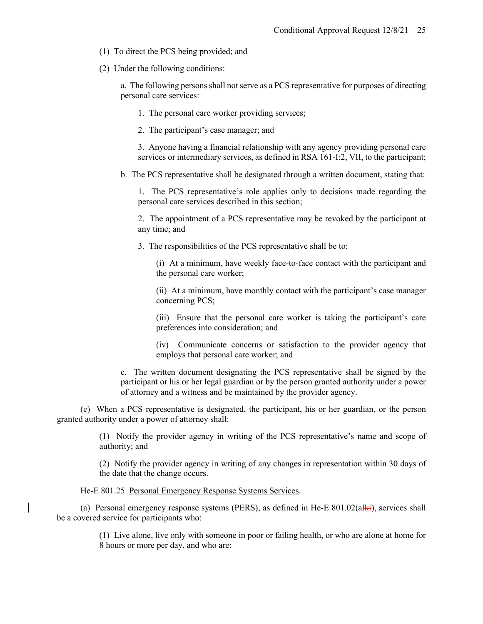- (1) To direct the PCS being provided; and
- (2) Under the following conditions:

a. The following persons shall not serve as a PCS representative for purposes of directing personal care services:

- 1. The personal care worker providing services;
- 2. The participant's case manager; and

3. Anyone having a financial relationship with any agency providing personal care services or intermediary services, as defined in RSA 161-I:2, VII, to the participant;

b. The PCS representative shall be designated through a written document, stating that:

1. The PCS representative's role applies only to decisions made regarding the personal care services described in this section;

2. The appointment of a PCS representative may be revoked by the participant at any time; and

3. The responsibilities of the PCS representative shall be to:

(i) At a minimum, have weekly face-to-face contact with the participant and the personal care worker;

(ii) At a minimum, have monthly contact with the participant's case manager concerning PCS;

(iii) Ensure that the personal care worker is taking the participant's care preferences into consideration; and

(iv) Communicate concerns or satisfaction to the provider agency that employs that personal care worker; and

c. The written document designating the PCS representative shall be signed by the participant or his or her legal guardian or by the person granted authority under a power of attorney and a witness and be maintained by the provider agency.

(e) When a PCS representative is designated, the participant, his or her guardian, or the person granted authority under a power of attorney shall:

> (1) Notify the provider agency in writing of the PCS representative's name and scope of authority; and

> (2) Notify the provider agency in writing of any changes in representation within 30 days of the date that the change occurs.

## He-E 801.25 Personal Emergency Response Systems Services.

(a) Personal emergency response systems (PERS), as defined in He-E  $801.02(a)$ ki), services shall be a covered service for participants who:

> (1) Live alone, live only with someone in poor or failing health, or who are alone at home for 8 hours or more per day, and who are: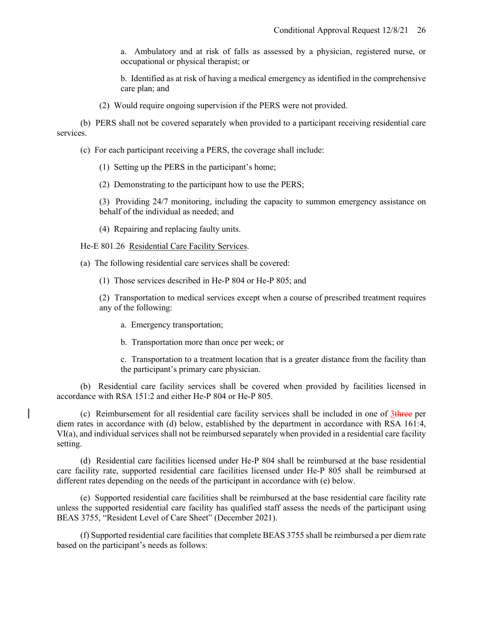a. Ambulatory and at risk of falls as assessed by a physician, registered nurse, or occupational or physical therapist; or

b. Identified as at risk of having a medical emergency as identified in the comprehensive care plan; and

(2) Would require ongoing supervision if the PERS were not provided.

(b) PERS shall not be covered separately when provided to a participant receiving residential care services.

(c) For each participant receiving a PERS, the coverage shall include:

(1) Setting up the PERS in the participant's home;

(2) Demonstrating to the participant how to use the PERS;

(3) Providing 24/7 monitoring, including the capacity to summon emergency assistance on behalf of the individual as needed; and

(4) Repairing and replacing faulty units.

He-E 801.26 Residential Care Facility Services.

(a) The following residential care services shall be covered:

(1) Those services described in He-P 804 or He-P 805; and

(2) Transportation to medical services except when a course of prescribed treatment requires any of the following:

a. Emergency transportation;

b. Transportation more than once per week; or

c. Transportation to a treatment location that is a greater distance from the facility than the participant's primary care physician.

(b) Residential care facility services shall be covered when provided by facilities licensed in accordance with RSA 151:2 and either He-P 804 or He-P 805.

(c) Reimbursement for all residential care facility services shall be included in one of  $3$ three per diem rates in accordance with (d) below, established by the department in accordance with RSA 161:4, VI(a), and individual services shall not be reimbursed separately when provided in a residential care facility setting.

(d) Residential care facilities licensed under He-P 804 shall be reimbursed at the base residential care facility rate, supported residential care facilities licensed under He-P 805 shall be reimbursed at different rates depending on the needs of the participant in accordance with (e) below.

(e) Supported residential care facilities shall be reimbursed at the base residential care facility rate unless the supported residential care facility has qualified staff assess the needs of the participant using BEAS 3755, "Resident Level of Care Sheet" (December 2021).

(f) Supported residential care facilities that complete BEAS 3755 shall be reimbursed a per diem rate based on the participant's needs as follows: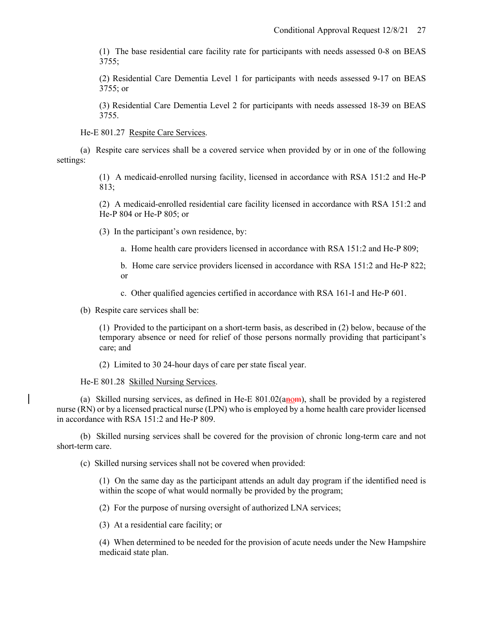(1) The base residential care facility rate for participants with needs assessed 0-8 on BEAS 3755;

(2) Residential Care Dementia Level 1 for participants with needs assessed 9-17 on BEAS 3755; or

(3) Residential Care Dementia Level 2 for participants with needs assessed 18-39 on BEAS 3755.

He-E 801.27 Respite Care Services.

(a) Respite care services shall be a covered service when provided by or in one of the following settings:

> (1) A medicaid-enrolled nursing facility, licensed in accordance with RSA 151:2 and He-P 813;

> (2) A medicaid-enrolled residential care facility licensed in accordance with RSA 151:2 and He-P 804 or He-P 805; or

(3) In the participant's own residence, by:

a. Home health care providers licensed in accordance with RSA 151:2 and He-P 809;

b. Home care service providers licensed in accordance with RSA 151:2 and He-P 822; or

c. Other qualified agencies certified in accordance with RSA 161-I and He-P 601.

(b) Respite care services shall be:

(1) Provided to the participant on a short-term basis, as described in (2) below, because of the temporary absence or need for relief of those persons normally providing that participant's care; and

(2) Limited to 30 24-hour days of care per state fiscal year.

He-E 801.28 Skilled Nursing Services.

(a) Skilled nursing services, as defined in He-E  $801.02(a_{\text{HOM}})$ , shall be provided by a registered nurse (RN) or by a licensed practical nurse (LPN) who is employed by a home health care provider licensed in accordance with RSA 151:2 and He-P 809.

(b) Skilled nursing services shall be covered for the provision of chronic long-term care and not short-term care.

(c) Skilled nursing services shall not be covered when provided:

(1) On the same day as the participant attends an adult day program if the identified need is within the scope of what would normally be provided by the program;

(2) For the purpose of nursing oversight of authorized LNA services;

(3) At a residential care facility; or

(4) When determined to be needed for the provision of acute needs under the New Hampshire medicaid state plan.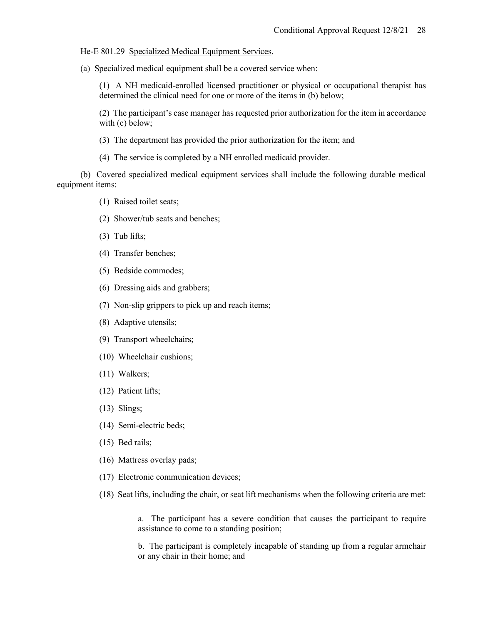He-E 801.29 Specialized Medical Equipment Services.

(a) Specialized medical equipment shall be a covered service when:

(1) A NH medicaid-enrolled licensed practitioner or physical or occupational therapist has determined the clinical need for one or more of the items in (b) below;

(2) The participant's case manager has requested prior authorization for the item in accordance with (c) below;

(3) The department has provided the prior authorization for the item; and

(4) The service is completed by a NH enrolled medicaid provider.

(b) Covered specialized medical equipment services shall include the following durable medical equipment items:

- (1) Raised toilet seats;
- (2) Shower/tub seats and benches;
- (3) Tub lifts;
- (4) Transfer benches;
- (5) Bedside commodes;
- (6) Dressing aids and grabbers;
- (7) Non-slip grippers to pick up and reach items;
- (8) Adaptive utensils;
- (9) Transport wheelchairs;
- (10) Wheelchair cushions;
- (11) Walkers;
- (12) Patient lifts;
- (13) Slings;
- (14) Semi-electric beds;
- (15) Bed rails;
- (16) Mattress overlay pads;
- (17) Electronic communication devices;
- (18) Seat lifts, including the chair, or seat lift mechanisms when the following criteria are met:

a. The participant has a severe condition that causes the participant to require assistance to come to a standing position;

b. The participant is completely incapable of standing up from a regular armchair or any chair in their home; and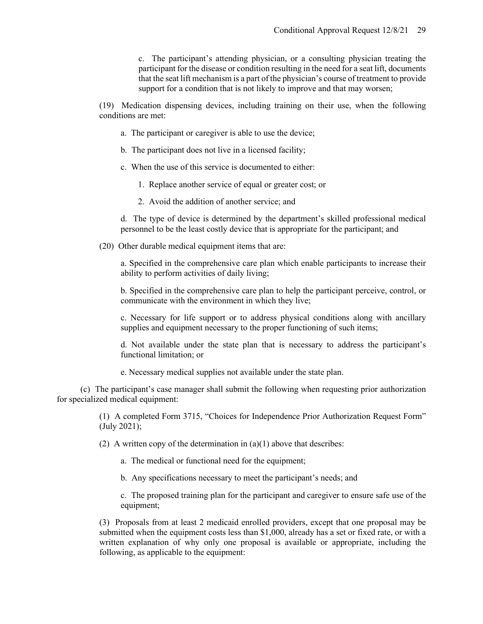c. The participant's attending physician, or a consulting physician treating the participant for the disease or condition resulting in the need for a seat lift, documents that the seat lift mechanism is a part of the physician's course of treatment to provide support for a condition that is not likely to improve and that may worsen;

(19) Medication dispensing devices, including training on their use, when the following conditions are met:

- a. The participant or caregiver is able to use the device;
- b. The participant does not live in a licensed facility;
- c. When the use of this service is documented to either:
	- 1. Replace another service of equal or greater cost; or
	- 2. Avoid the addition of another service; and

d. The type of device is determined by the department's skilled professional medical personnel to be the least costly device that is appropriate for the participant; and

(20) Other durable medical equipment items that are:

a. Specified in the comprehensive care plan which enable participants to increase their ability to perform activities of daily living;

b. Specified in the comprehensive care plan to help the participant perceive, control, or communicate with the environment in which they live;

c. Necessary for life support or to address physical conditions along with ancillary supplies and equipment necessary to the proper functioning of such items;

d. Not available under the state plan that is necessary to address the participant's functional limitation; or

e. Necessary medical supplies not available under the state plan.

(c) The participant's case manager shall submit the following when requesting prior authorization for specialized medical equipment:

> (1) A completed Form 3715, "Choices for Independence Prior Authorization Request Form" (July 2021);

(2) A written copy of the determination in  $(a)(1)$  above that describes:

a. The medical or functional need for the equipment;

b. Any specifications necessary to meet the participant's needs; and

c. The proposed training plan for the participant and caregiver to ensure safe use of the equipment;

(3) Proposals from at least 2 medicaid enrolled providers, except that one proposal may be submitted when the equipment costs less than \$1,000, already has a set or fixed rate, or with a written explanation of why only one proposal is available or appropriate, including the following, as applicable to the equipment: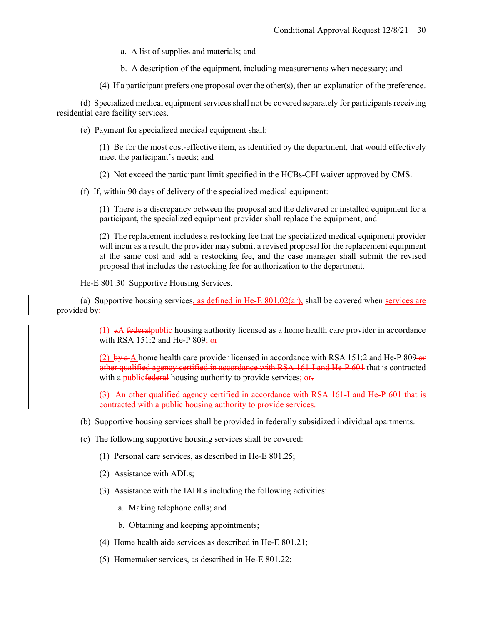a. A list of supplies and materials; and

- b. A description of the equipment, including measurements when necessary; and
- (4) If a participant prefers one proposal over the other(s), then an explanation of the preference.

(d) Specialized medical equipment services shall not be covered separately for participants receiving residential care facility services.

(e) Payment for specialized medical equipment shall:

(1) Be for the most cost-effective item, as identified by the department, that would effectively meet the participant's needs; and

(2) Not exceed the participant limit specified in the HCBs-CFI waiver approved by CMS.

(f) If, within 90 days of delivery of the specialized medical equipment:

(1) There is a discrepancy between the proposal and the delivered or installed equipment for a participant, the specialized equipment provider shall replace the equipment; and

(2) The replacement includes a restocking fee that the specialized medical equipment provider will incur as a result, the provider may submit a revised proposal for the replacement equipment at the same cost and add a restocking fee, and the case manager shall submit the revised proposal that includes the restocking fee for authorization to the department.

He-E 801.30 Supportive Housing Services.

(a) Supportive housing services, as defined in He-E  $801.02$ (ar), shall be covered when services are provided by:

> (1) aA federalpublic housing authority licensed as a home health care provider in accordance with RSA 151:2 and He-P  $809$ ; or

> (2)  $b\psi$  a A home health care provider licensed in accordance with RSA 151:2 and He-P 809- $\sigma$ other qualified agency certified in accordance with RSA 161-I and He-P 601 that is contracted with a publicfederal housing authority to provide services; or-

> (3) An other qualified agency certified in accordance with RSA 161-I and He-P 601 that is contracted with a public housing authority to provide services.

- (b) Supportive housing services shall be provided in federally subsidized individual apartments.
- (c) The following supportive housing services shall be covered:
	- (1) Personal care services, as described in He-E 801.25;
	- (2) Assistance with ADLs;
	- (3) Assistance with the IADLs including the following activities:
		- a. Making telephone calls; and
		- b. Obtaining and keeping appointments;
	- (4) Home health aide services as described in He-E 801.21;
	- (5) Homemaker services, as described in He-E 801.22;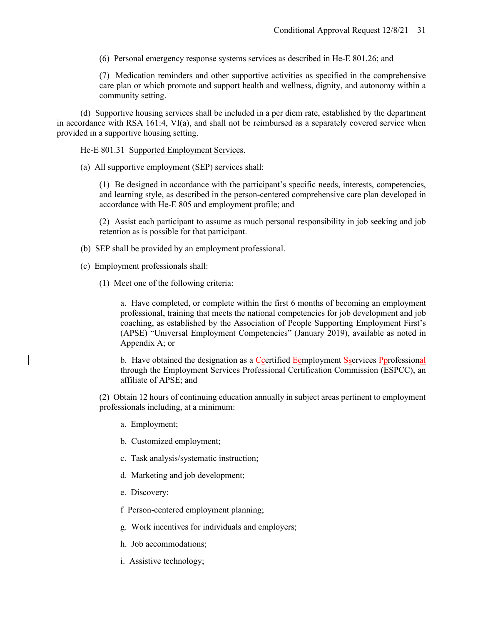(6) Personal emergency response systems services as described in He-E 801.26; and

(7) Medication reminders and other supportive activities as specified in the comprehensive care plan or which promote and support health and wellness, dignity, and autonomy within a community setting.

(d) Supportive housing services shall be included in a per diem rate, established by the department in accordance with RSA 161:4, VI(a), and shall not be reimbursed as a separately covered service when provided in a supportive housing setting.

He-E 801.31 Supported Employment Services.

(a) All supportive employment (SEP) services shall:

(1) Be designed in accordance with the participant's specific needs, interests, competencies, and learning style, as described in the person-centered comprehensive care plan developed in accordance with He-E 805 and employment profile; and

(2) Assist each participant to assume as much personal responsibility in job seeking and job retention as is possible for that participant.

- (b) SEP shall be provided by an employment professional.
- (c) Employment professionals shall:
	- (1) Meet one of the following criteria:

a. Have completed, or complete within the first 6 months of becoming an employment professional, training that meets the national competencies for job development and job coaching, as established by the Association of People Supporting Employment First's (APSE) "Universal Employment Competencies" (January 2019), available as noted in Appendix A; or

b. Have obtained the designation as a Ccertified Eemployment Sservices Pprofessional through the Employment Services Professional Certification Commission (ESPCC), an affiliate of APSE; and

(2) Obtain 12 hours of continuing education annually in subject areas pertinent to employment professionals including, at a minimum:

- a. Employment;
- b. Customized employment;
- c. Task analysis/systematic instruction;
- d. Marketing and job development;
- e. Discovery;

f Person-centered employment planning;

- g. Work incentives for individuals and employers;
- h. Job accommodations;
- i. Assistive technology;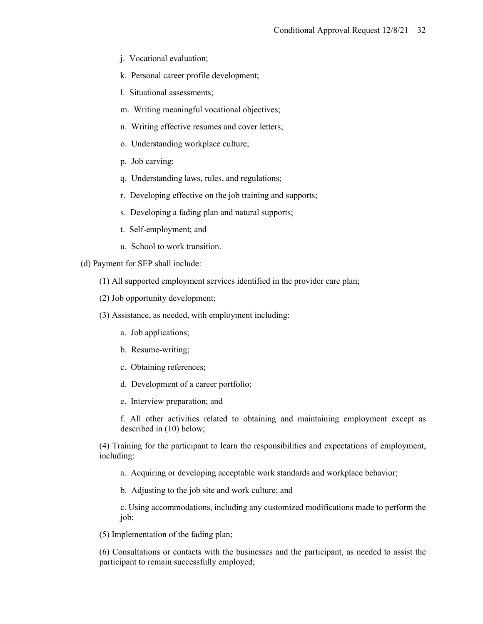- j. Vocational evaluation;
- k. Personal career profile development;
- l. Situational assessments;
- m. Writing meaningful vocational objectives;
- n. Writing effective resumes and cover letters;
- o. Understanding workplace culture;
- p. Job carving;
- q. Understanding laws, rules, and regulations;
- r. Developing effective on the job training and supports;
- s. Developing a fading plan and natural supports;
- t. Self-employment; and
- u. School to work transition.

(d) Payment for SEP shall include:

- (1) All supported employment services identified in the provider care plan;
- (2) Job opportunity development;
- (3) Assistance, as needed, with employment including:
	- a. Job applications;
	- b. Resume-writing;
	- c. Obtaining references;
	- d. Development of a career portfolio;
	- e. Interview preparation; and

f. All other activities related to obtaining and maintaining employment except as described in (10) below;

(4) Training for the participant to learn the responsibilities and expectations of employment, including:

- a. Acquiring or developing acceptable work standards and workplace behavior;
- b. Adjusting to the job site and work culture; and

c. Using accommodations, including any customized modifications made to perform the job;

(5) Implementation of the fading plan;

(6) Consultations or contacts with the businesses and the participant, as needed to assist the participant to remain successfully employed;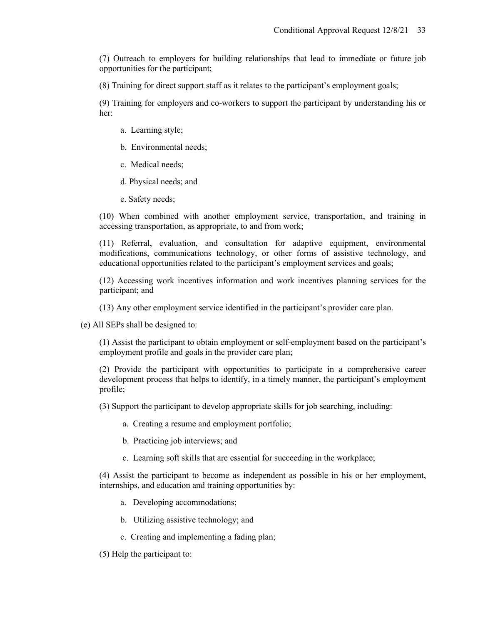(7) Outreach to employers for building relationships that lead to immediate or future job opportunities for the participant;

(8) Training for direct support staff as it relates to the participant's employment goals;

(9) Training for employers and co-workers to support the participant by understanding his or her:

- a. Learning style;
- b. Environmental needs;
- c. Medical needs;
- d. Physical needs; and
- e. Safety needs;

(10) When combined with another employment service, transportation, and training in accessing transportation, as appropriate, to and from work;

(11) Referral, evaluation, and consultation for adaptive equipment, environmental modifications, communications technology, or other forms of assistive technology, and educational opportunities related to the participant's employment services and goals;

(12) Accessing work incentives information and work incentives planning services for the participant; and

(13) Any other employment service identified in the participant's provider care plan.

(e) All SEPs shall be designed to:

(1) Assist the participant to obtain employment or self-employment based on the participant's employment profile and goals in the provider care plan;

(2) Provide the participant with opportunities to participate in a comprehensive career development process that helps to identify, in a timely manner, the participant's employment profile;

(3) Support the participant to develop appropriate skills for job searching, including:

- a. Creating a resume and employment portfolio;
- b. Practicing job interviews; and
- c. Learning soft skills that are essential for succeeding in the workplace;

(4) Assist the participant to become as independent as possible in his or her employment, internships, and education and training opportunities by:

- a. Developing accommodations;
- b. Utilizing assistive technology; and
- c. Creating and implementing a fading plan;
- (5) Help the participant to: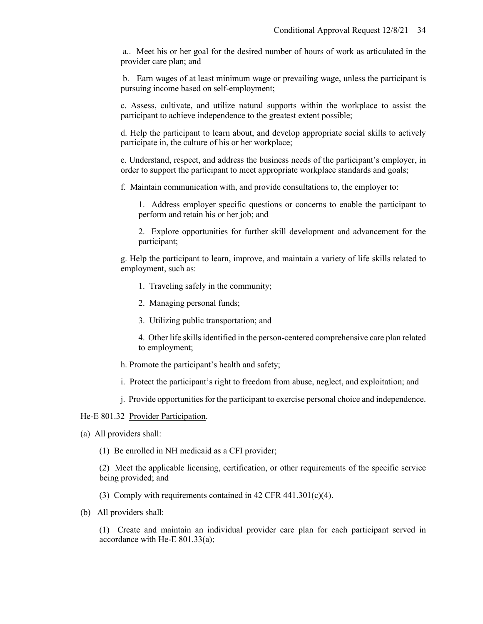a.. Meet his or her goal for the desired number of hours of work as articulated in the provider care plan; and

b. Earn wages of at least minimum wage or prevailing wage, unless the participant is pursuing income based on self-employment;

c. Assess, cultivate, and utilize natural supports within the workplace to assist the participant to achieve independence to the greatest extent possible;

d. Help the participant to learn about, and develop appropriate social skills to actively participate in, the culture of his or her workplace;

e. Understand, respect, and address the business needs of the participant's employer, in order to support the participant to meet appropriate workplace standards and goals;

f. Maintain communication with, and provide consultations to, the employer to:

1. Address employer specific questions or concerns to enable the participant to perform and retain his or her job; and

2. Explore opportunities for further skill development and advancement for the participant;

g. Help the participant to learn, improve, and maintain a variety of life skills related to employment, such as:

- 1. Traveling safely in the community;
- 2. Managing personal funds;
- 3. Utilizing public transportation; and

4. Other life skills identified in the person-centered comprehensive care plan related to employment;

- h. Promote the participant's health and safety;
- i. Protect the participant's right to freedom from abuse, neglect, and exploitation; and
- j. Provide opportunities for the participant to exercise personal choice and independence.

#### He-E 801.32 Provider Participation.

(a) All providers shall:

(1) Be enrolled in NH medicaid as a CFI provider;

(2) Meet the applicable licensing, certification, or other requirements of the specific service being provided; and

- (3) Comply with requirements contained in 42 CFR 441.301(c)(4).
- (b) All providers shall:

(1) Create and maintain an individual provider care plan for each participant served in accordance with He-E 801.33(a);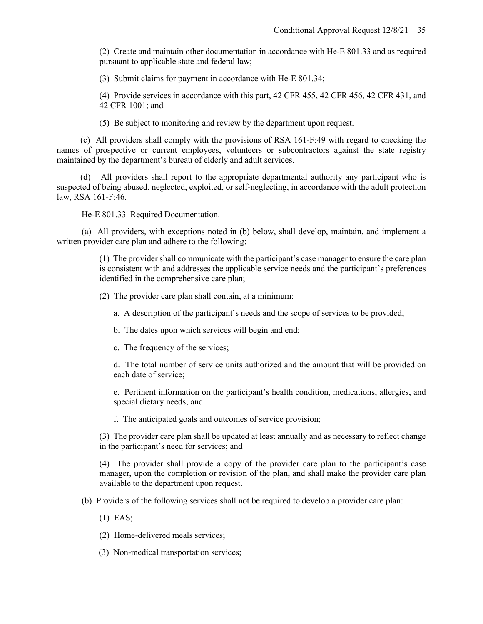(2) Create and maintain other documentation in accordance with He-E 801.33 and as required pursuant to applicable state and federal law;

(3) Submit claims for payment in accordance with He-E 801.34;

(4) Provide services in accordance with this part, 42 CFR 455, 42 CFR 456, 42 CFR 431, and 42 CFR 1001; and

(5) Be subject to monitoring and review by the department upon request.

(c) All providers shall comply with the provisions of RSA 161-F:49 with regard to checking the names of prospective or current employees, volunteers or subcontractors against the state registry maintained by the department's bureau of elderly and adult services.

(d) All providers shall report to the appropriate departmental authority any participant who is suspected of being abused, neglected, exploited, or self-neglecting, in accordance with the adult protection law, RSA 161-F:46.

He-E 801.33 Required Documentation.

(a) All providers, with exceptions noted in (b) below, shall develop, maintain, and implement a written provider care plan and adhere to the following:

> (1) The provider shall communicate with the participant's case manager to ensure the care plan is consistent with and addresses the applicable service needs and the participant's preferences identified in the comprehensive care plan;

(2) The provider care plan shall contain, at a minimum:

- a. A description of the participant's needs and the scope of services to be provided;
- b. The dates upon which services will begin and end;

c. The frequency of the services;

d. The total number of service units authorized and the amount that will be provided on each date of service;

e. Pertinent information on the participant's health condition, medications, allergies, and special dietary needs; and

f. The anticipated goals and outcomes of service provision;

(3) The provider care plan shall be updated at least annually and as necessary to reflect change in the participant's need for services; and

(4) The provider shall provide a copy of the provider care plan to the participant's case manager, upon the completion or revision of the plan, and shall make the provider care plan available to the department upon request.

(b) Providers of the following services shall not be required to develop a provider care plan:

(1) EAS;

(2) Home-delivered meals services;

(3) Non-medical transportation services;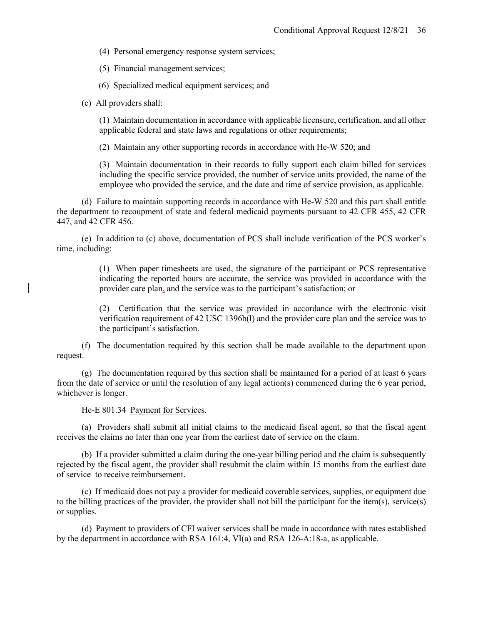(4) Personal emergency response system services;

(5) Financial management services;

(6) Specialized medical equipment services; and

(c) All providers shall:

(1) Maintain documentation in accordance with applicable licensure, certification, and all other applicable federal and state laws and regulations or other requirements;

(2) Maintain any other supporting records in accordance with He-W 520; and

(3) Maintain documentation in their records to fully support each claim billed for services including the specific service provided, the number of service units provided, the name of the employee who provided the service, and the date and time of service provision, as applicable.

(d) Failure to maintain supporting records in accordance with He-W 520 and this part shall entitle the department to recoupment of state and federal medicaid payments pursuant to 42 CFR 455, 42 CFR 447, and 42 CFR 456.

(e) In addition to (c) above, documentation of PCS shall include verification of the PCS worker's time, including:

> (1) When paper timesheets are used, the signature of the participant or PCS representative indicating the reported hours are accurate, the service was provided in accordance with the provider care plan, and the service was to the participant's satisfaction; or

> (2) Certification that the service was provided in accordance with the electronic visit verification requirement of 42 USC 1396b(l) and the provider care plan and the service was to the participant's satisfaction.

(f) The documentation required by this section shall be made available to the department upon request.

(g) The documentation required by this section shall be maintained for a period of at least 6 years from the date of service or until the resolution of any legal action(s) commenced during the 6 year period, whichever is longer.

He-E 801.34 Payment for Services.

(a) Providers shall submit all initial claims to the medicaid fiscal agent, so that the fiscal agent receives the claims no later than one year from the earliest date of service on the claim.

(b) If a provider submitted a claim during the one-year billing period and the claim is subsequently rejected by the fiscal agent, the provider shall resubmit the claim within 15 months from the earliest date of service to receive reimbursement.

(c) If medicaid does not pay a provider for medicaid coverable services, supplies, or equipment due to the billing practices of the provider, the provider shall not bill the participant for the item(s), service(s) or supplies.

(d) Payment to providers of CFI waiver services shall be made in accordance with rates established by the department in accordance with RSA 161:4, VI(a) and RSA 126-A:18-a, as applicable.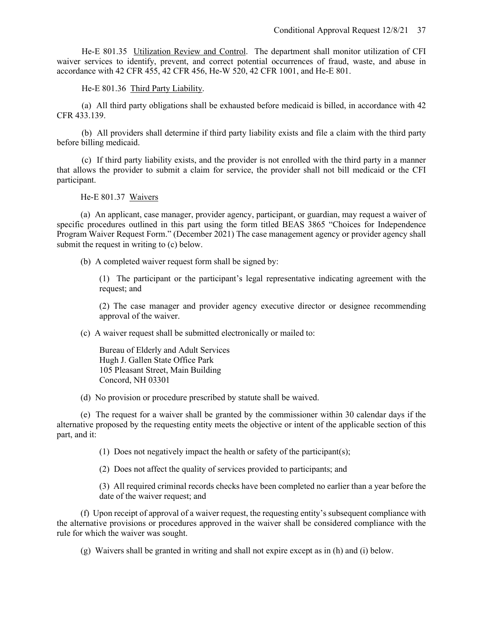He-E 801.35 Utilization Review and Control. The department shall monitor utilization of CFI waiver services to identify, prevent, and correct potential occurrences of fraud, waste, and abuse in accordance with 42 CFR 455, 42 CFR 456, He-W 520, 42 CFR 1001, and He-E 801.

He-E 801.36 Third Party Liability.

(a) All third party obligations shall be exhausted before medicaid is billed, in accordance with 42 CFR 433.139.

(b) All providers shall determine if third party liability exists and file a claim with the third party before billing medicaid.

(c) If third party liability exists, and the provider is not enrolled with the third party in a manner that allows the provider to submit a claim for service, the provider shall not bill medicaid or the CFI participant.

He-E 801.37 Waivers

(a) An applicant, case manager, provider agency, participant, or guardian, may request a waiver of specific procedures outlined in this part using the form titled BEAS 3865 "Choices for Independence Program Waiver Request Form." (December 2021) The case management agency or provider agency shall submit the request in writing to (c) below.

(b) A completed waiver request form shall be signed by:

(1) The participant or the participant's legal representative indicating agreement with the request; and

(2) The case manager and provider agency executive director or designee recommending approval of the waiver.

(c) A waiver request shall be submitted electronically or mailed to:

Bureau of Elderly and Adult Services Hugh J. Gallen State Office Park 105 Pleasant Street, Main Building Concord, NH 03301

(d) No provision or procedure prescribed by statute shall be waived.

(e) The request for a waiver shall be granted by the commissioner within 30 calendar days if the alternative proposed by the requesting entity meets the objective or intent of the applicable section of this part, and it:

(1) Does not negatively impact the health or safety of the participant(s);

(2) Does not affect the quality of services provided to participants; and

(3) All required criminal records checks have been completed no earlier than a year before the date of the waiver request; and

(f) Upon receipt of approval of a waiver request, the requesting entity's subsequent compliance with the alternative provisions or procedures approved in the waiver shall be considered compliance with the rule for which the waiver was sought.

(g) Waivers shall be granted in writing and shall not expire except as in (h) and (i) below.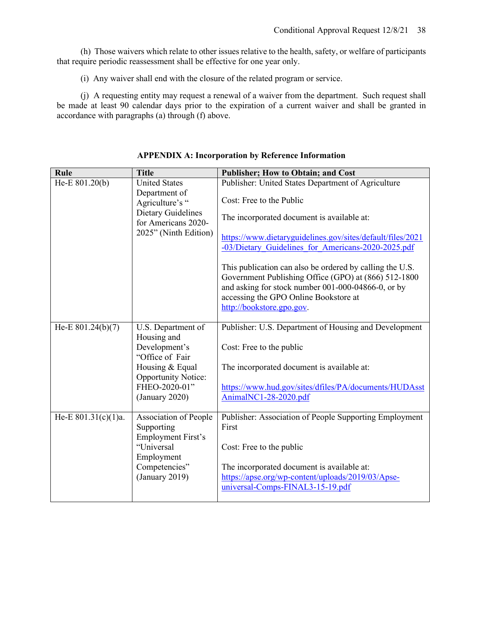(h) Those waivers which relate to other issues relative to the health, safety, or welfare of participants that require periodic reassessment shall be effective for one year only.

(i) Any waiver shall end with the closure of the related program or service.

(j) A requesting entity may request a renewal of a waiver from the department. Such request shall be made at least 90 calendar days prior to the expiration of a current waiver and shall be granted in accordance with paragraphs (a) through (f) above.

| Rule                   | <b>Title</b>                                                                                                                                              | <b>Publisher; How to Obtain; and Cost</b>                                                                                                                                                                                                                                                                                                                                                                                                                                                        |
|------------------------|-----------------------------------------------------------------------------------------------------------------------------------------------------------|--------------------------------------------------------------------------------------------------------------------------------------------------------------------------------------------------------------------------------------------------------------------------------------------------------------------------------------------------------------------------------------------------------------------------------------------------------------------------------------------------|
| He-E 801.20(b)         | <b>United States</b><br>Department of<br>Agriculture's "<br><b>Dietary Guidelines</b><br>for Americans 2020-<br>2025" (Ninth Edition)                     | Publisher: United States Department of Agriculture<br>Cost: Free to the Public<br>The incorporated document is available at:<br>https://www.dietaryguidelines.gov/sites/default/files/2021<br>-03/Dietary Guidelines for Americans-2020-2025.pdf<br>This publication can also be ordered by calling the U.S.<br>Government Publishing Office (GPO) at (866) 512-1800<br>and asking for stock number 001-000-04866-0, or by<br>accessing the GPO Online Bookstore at<br>http://bookstore.gpo.gov. |
| He-E $801.24(b)(7)$    | U.S. Department of<br>Housing and<br>Development's<br>"Office of Fair<br>Housing & Equal<br><b>Opportunity Notice:</b><br>FHEO-2020-01"<br>(January 2020) | Publisher: U.S. Department of Housing and Development<br>Cost: Free to the public<br>The incorporated document is available at:<br>https://www.hud.gov/sites/dfiles/PA/documents/HUDAsst<br>AnimalNC1-28-2020.pdf                                                                                                                                                                                                                                                                                |
| He-E $801.31(c)(1)a$ . | Association of People<br>Supporting<br><b>Employment First's</b><br>"Universal<br>Employment<br>Competencies"<br>(January 2019)                           | Publisher: Association of People Supporting Employment<br>First<br>Cost: Free to the public<br>The incorporated document is available at:<br>https://apse.org/wp-content/uploads/2019/03/Apse-<br>universal-Comps-FINAL3-15-19.pdf                                                                                                                                                                                                                                                               |

**APPENDIX A: Incorporation by Reference Information**